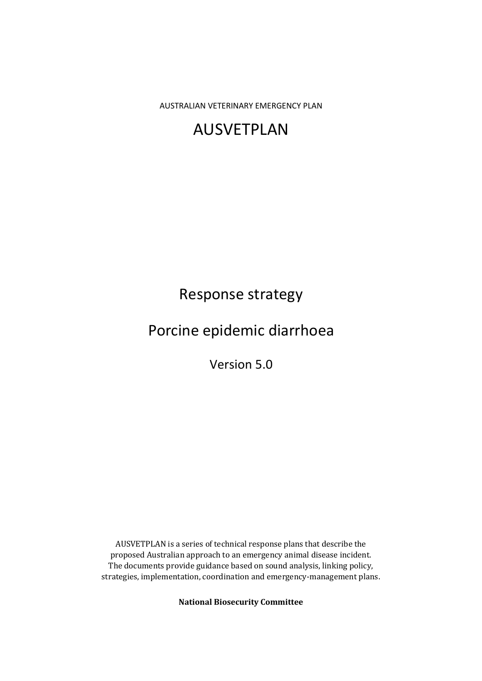AUSTRALIAN VETERINARY EMERGENCY PLAN

# AUSVETPLAN

# Response strategy

# Porcine epidemic diarrhoea

Version 5.0

AUSVETPLAN is a series of technical response plans that describe the proposed Australian approach to an emergency animal disease incident. The documents provide guidance based on sound analysis, linking policy, strategies, implementation, coordination and emergency-management plans.

**National Biosecurity Committee**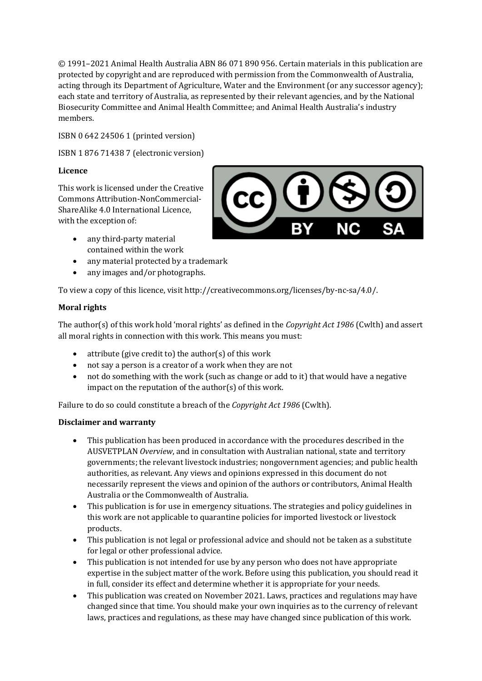© 1991–2021 Animal Health Australia ABN 86 071 890 956. Certain materials in this publication are protected by copyright and are reproduced with permission from the Commonwealth of Australia, acting through its Department of Agriculture, Water and the Environment (or any successor agency); each state and territory of Australia, as represented by their relevant agencies, and by the National Biosecurity Committee and Animal Health Committee; and Animal Health Australia's industry members.

ISBN 0 642 24506 1 (printed version)

ISBN 1 876 71438 7 (electronic version)

### **Licence**

This work is licensed under the Creative Commons Attribution-NonCommercial-ShareAlike 4.0 International Licence, with the exception of:

- any third-party material contained within the work
- any material protected by a trademark
- any images and/or photographs.

To view a copy of this licence, visit http://creativecommons.org/licenses/by-nc-sa/4.0/.

### **Moral rights**

The author(s) of this work hold 'moral rights' as defined in the *Copyright Act 1986* (Cwlth) and assert all moral rights in connection with this work. This means you must:

- attribute (give credit to) the author(s) of this work
- not say a person is a creator of a work when they are not
- not do something with the work (such as change or add to it) that would have a negative impact on the reputation of the author(s) of this work.

Failure to do so could constitute a breach of the *Copyright Act 1986* (Cwlth).

### **Disclaimer and warranty**

- This publication has been produced in accordance with the procedures described in the AUSVETPLAN *Overview*, and in consultation with Australian national, state and territory governments; the relevant livestock industries; nongovernment agencies; and public health authorities, as relevant. Any views and opinions expressed in this document do not necessarily represent the views and opinion of the authors or contributors, Animal Health Australia or the Commonwealth of Australia.
- This publication is for use in emergency situations. The strategies and policy guidelines in this work are not applicable to quarantine policies for imported livestock or livestock products.
- This publication is not legal or professional advice and should not be taken as a substitute for legal or other professional advice.
- This publication is not intended for use by any person who does not have appropriate expertise in the subject matter of the work. Before using this publication, you should read it in full, consider its effect and determine whether it is appropriate for your needs.
- This publication was created on November 2021. Laws, practices and regulations may have changed since that time. You should make your own inquiries as to the currency of relevant laws, practices and regulations, as these may have changed since publication of this work.

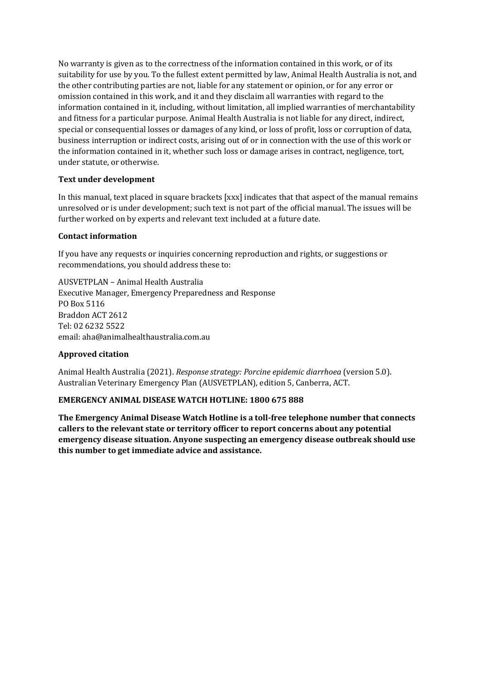No warranty is given as to the correctness of the information contained in this work, or of its suitability for use by you. To the fullest extent permitted by law, Animal Health Australia is not, and the other contributing parties are not, liable for any statement or opinion, or for any error or omission contained in this work, and it and they disclaim all warranties with regard to the information contained in it, including, without limitation, all implied warranties of merchantability and fitness for a particular purpose. Animal Health Australia is not liable for any direct, indirect, special or consequential losses or damages of any kind, or loss of profit, loss or corruption of data, business interruption or indirect costs, arising out of or in connection with the use of this work or the information contained in it, whether such loss or damage arises in contract, negligence, tort, under statute, or otherwise.

### **Text under development**

In this manual, text placed in square brackets [xxx] indicates that that aspect of the manual remains unresolved or is under development; such text is not part of the official manual. The issues will be further worked on by experts and relevant text included at a future date.

### **Contact information**

If you have any requests or inquiries concerning reproduction and rights, or suggestions or recommendations, you should address these to:

AUSVETPLAN – Animal Health Australia Executive Manager, Emergency Preparedness and Response PO Box 5116 Braddon ACT 2612 Tel: 02 6232 5522 email: aha@animalhealthaustralia.com.au

### **Approved citation**

Animal Health Australia (2021). *Response strategy: Porcine epidemic diarrhoea* (version 5.0). Australian Veterinary Emergency Plan (AUSVETPLAN), edition 5, Canberra, ACT.

### **EMERGENCY ANIMAL DISEASE WATCH HOTLINE: 1800 675 888**

**The Emergency Animal Disease Watch Hotline is a toll-free telephone number that connects callers to the relevant state or territory officer to report concerns about any potential emergency disease situation. Anyone suspecting an emergency disease outbreak should use this number to get immediate advice and assistance.**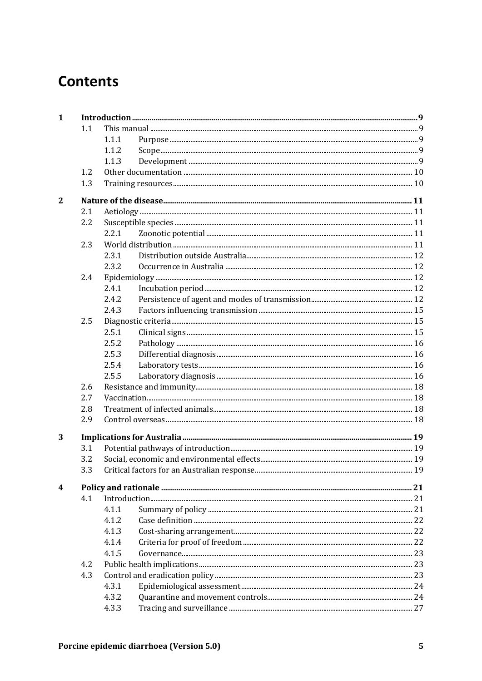# **Contents**

| $\mathbf{1}$   |     |       |  |  |
|----------------|-----|-------|--|--|
|                | 1.1 |       |  |  |
|                |     | 1.1.1 |  |  |
|                |     | 1.1.2 |  |  |
|                |     | 1.1.3 |  |  |
|                | 1.2 |       |  |  |
|                | 1.3 |       |  |  |
| $\overline{2}$ |     |       |  |  |
|                | 2.1 |       |  |  |
|                | 2.2 |       |  |  |
|                |     | 2.2.1 |  |  |
|                | 2.3 |       |  |  |
|                |     | 2.3.1 |  |  |
|                |     | 2.3.2 |  |  |
|                | 2.4 |       |  |  |
|                |     | 2.4.1 |  |  |
|                |     | 2.4.2 |  |  |
|                |     | 2.4.3 |  |  |
|                | 2.5 |       |  |  |
|                |     | 2.5.1 |  |  |
|                |     | 2.5.2 |  |  |
|                |     | 2.5.3 |  |  |
|                |     | 2.5.4 |  |  |
|                |     | 2.5.5 |  |  |
|                | 2.6 |       |  |  |
|                | 2.7 |       |  |  |
|                | 2.8 |       |  |  |
|                | 2.9 |       |  |  |
| 3              |     |       |  |  |
|                | 3.1 |       |  |  |
|                | 3.2 |       |  |  |
|                | 3.3 |       |  |  |
|                |     |       |  |  |
| 4              |     |       |  |  |
|                | 4.1 |       |  |  |
|                |     | 4.1.1 |  |  |
|                |     | 4.1.2 |  |  |
|                |     | 4.1.3 |  |  |
|                |     | 4.1.4 |  |  |
|                |     | 4.1.5 |  |  |
|                | 4.2 |       |  |  |
|                | 4.3 |       |  |  |
|                |     | 4.3.1 |  |  |
|                |     | 4.3.2 |  |  |
|                |     | 4.3.3 |  |  |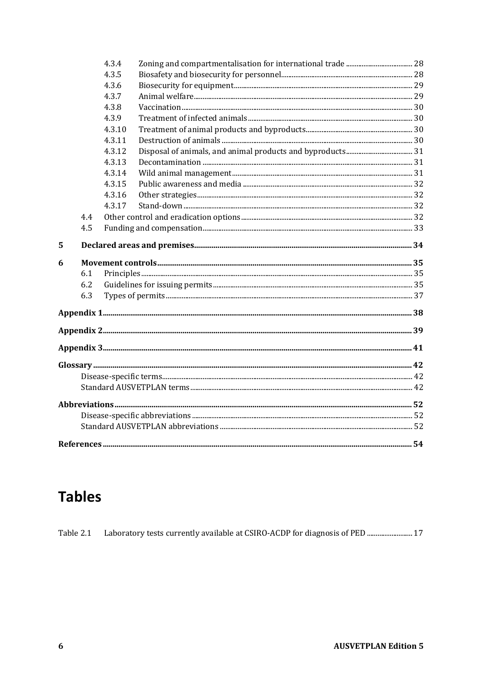|   |     | 4.3.4  |  |
|---|-----|--------|--|
|   |     | 4.3.5  |  |
|   |     | 4.3.6  |  |
|   |     | 4.3.7  |  |
|   |     | 4.3.8  |  |
|   |     | 4.3.9  |  |
|   |     | 4.3.10 |  |
|   |     | 4.3.11 |  |
|   |     | 4.3.12 |  |
|   |     | 4.3.13 |  |
|   |     | 4.3.14 |  |
|   |     | 4.3.15 |  |
|   |     | 4.3.16 |  |
|   |     | 4.3.17 |  |
|   | 4.4 |        |  |
|   | 4.5 |        |  |
| 5 |     |        |  |
| 6 |     |        |  |
|   | 6.1 |        |  |
|   | 6.2 |        |  |
|   | 6.3 |        |  |
|   |     |        |  |
|   |     |        |  |
|   |     |        |  |
|   |     |        |  |
|   |     |        |  |
|   |     |        |  |
|   |     |        |  |
|   |     |        |  |
|   |     |        |  |
|   |     |        |  |

# **Tables**

Laboratory tests currently available at CSIRO-ACDP for diagnosis of PED .......................... 17 Table 2.1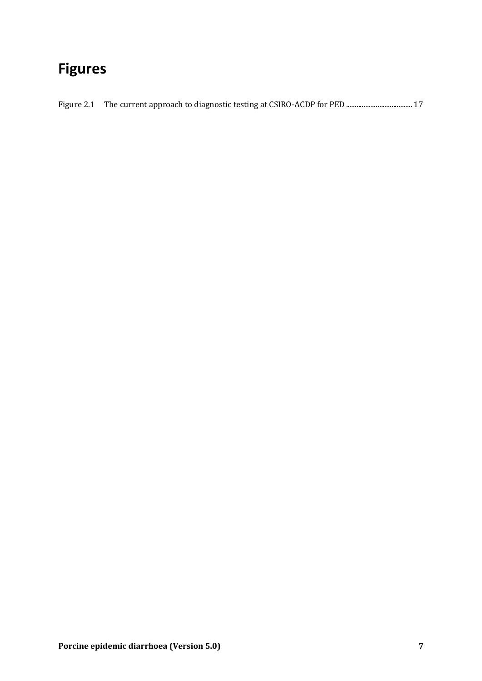# **Figures**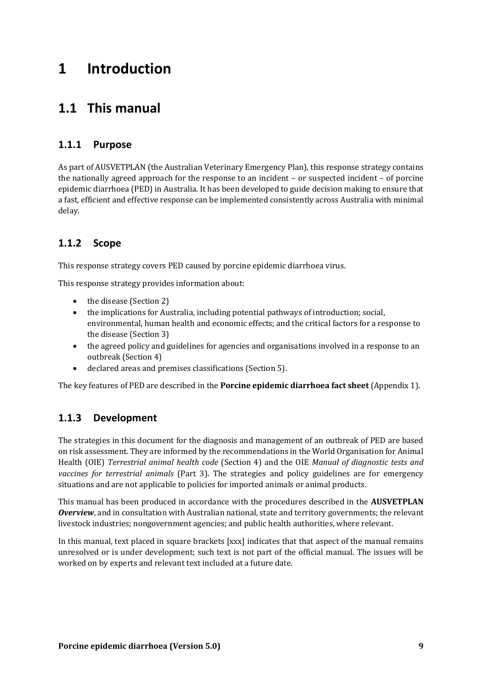# **1 Introduction**

## **1.1 This manual**

## **1.1.1 Purpose**

As part of AUSVETPLAN (the Australian Veterinary Emergency Plan), this response strategy contains the nationally agreed approach for the response to an incident – or suspected incident – of porcine epidemic diarrhoea (PED) in Australia. It has been developed to guide decision making to ensure that a fast, efficient and effective response can be implemented consistently across Australia with minimal delay.

## **1.1.2 Scope**

This response strategy covers PED caused by porcine epidemic diarrhoea virus.

This response strategy provides information about:

- the disease (Section 2)
- the implications for Australia, including potential pathways of introduction; social, environmental, human health and economic effects; and the critical factors for a response to the disease (Section 3)
- the agreed policy and guidelines for agencies and organisations involved in a response to an outbreak (Section 4)
- declared areas and premises classifications (Section 5).

The key features of PED are described in the **Porcine epidemic diarrhoea fact sheet** (Appendix 1).

## **1.1.3 Development**

The strategies in this document for the diagnosis and management of an outbreak of PED are based on risk assessment. They are informed by the recommendations in the World Organisation for Animal Health (OIE) *Terrestrial animal health code* (Section 4) and the OIE *Manual of diagnostic tests and vaccines for terrestrial animals* (Part 3). The strategies and policy guidelines are for emergency situations and are not applicable to policies for imported animals or animal products.

This manual has been produced in accordance with the procedures described in the **AUSVETPLAN** *Overview*, and in consultation with Australian national, state and territory governments; the relevant livestock industries; nongovernment agencies; and public health authorities, where relevant.

In this manual, text placed in square brackets [xxx] indicates that that aspect of the manual remains unresolved or is under development; such text is not part of the official manual. The issues will be worked on by experts and relevant text included at a future date.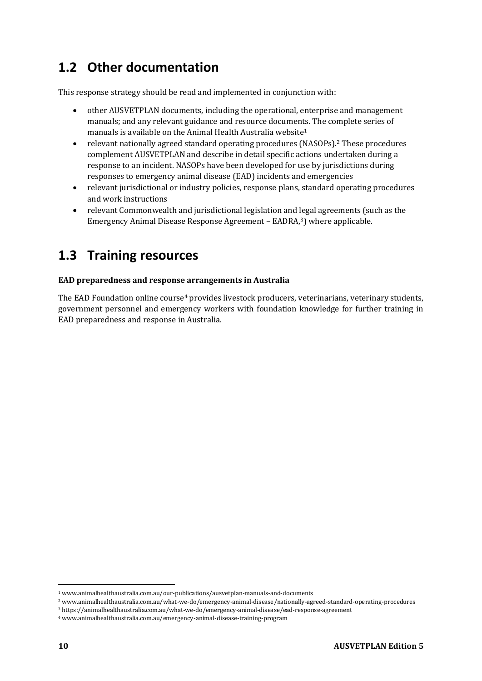# **1.2 Other documentation**

This response strategy should be read and implemented in conjunction with:

- other AUSVETPLAN documents, including the operational, enterprise and management manuals; and any relevant guidance and resource documents. The complete series of manuals is available on the Animal Health Australia website<sup>1</sup>
- relevant nationally agreed standard operating procedures (NASOPs).<sup>2</sup> These procedures complement AUSVETPLAN and describe in detail specific actions undertaken during a response to an incident. NASOPs have been developed for use by jurisdictions during responses to emergency animal disease (EAD) incidents and emergencies
- relevant jurisdictional or industry policies, response plans, standard operating procedures and work instructions
- relevant Commonwealth and jurisdictional legislation and legal agreements (such as the Emergency Animal Disease Response Agreement – EADRA,<sup>3</sup>) where applicable.

## **1.3 Training resources**

### **EAD preparedness and response arrangements in Australia**

The EAD Foundation online course<sup>4</sup> provides livestock producers, veterinarians, veterinary students, government personnel and emergency workers with foundation knowledge for further training in EAD preparedness and response in Australia.

<sup>1</sup> www.animalhealthaustralia.com.au/our-publications/ausvetplan-manuals-and-documents

<sup>2</sup> www.animalhealthaustralia.com.au/what-we-do/emergency-animal-disease/nationally-agreed-standard-operating-procedures

<sup>3</sup> https://animalhealthaustralia.com.au/what-we-do/emergency-animal-disease/ead-response-agreement

<sup>4</sup> www.animalhealthaustralia.com.au/emergency-animal-disease-training-program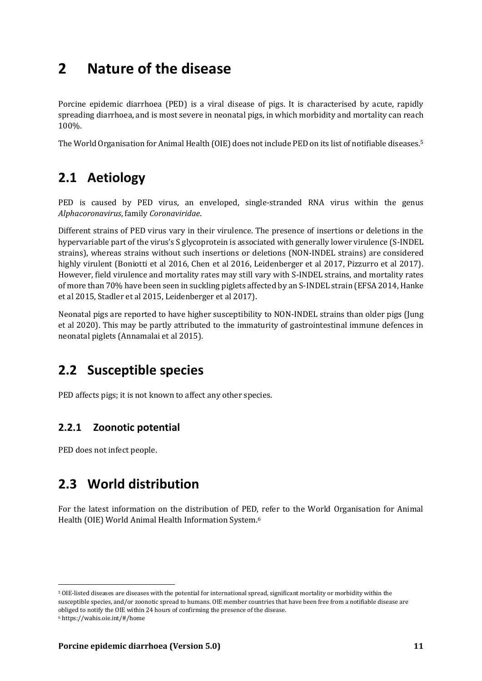# **2 Nature of the disease**

Porcine epidemic diarrhoea (PED) is a viral disease of pigs. It is characterised by acute, rapidly spreading diarrhoea, and is most severe in neonatal pigs, in which morbidity and mortality can reach 100%.

The World Organisation for Animal Health (OIE) does not include PED on its list of notifiable diseases.<sup>5</sup>

## **2.1 Aetiology**

PED is caused by PED virus, an enveloped, single-stranded RNA virus within the genus *Alphacoronavirus*, family *Coronaviridae*.

Different strains of PED virus vary in their virulence. The presence of insertions or deletions in the hypervariable part of the virus's S glycoprotein is associated with generally lower virulence (S-INDEL strains), whereas strains without such insertions or deletions (NON-INDEL strains) are considered highly virulent (Boniotti et al 2016, Chen et al 2016, Leidenberger et al 2017, Pizzurro et al 2017). However, field virulence and mortality rates may still vary with S-INDEL strains, and mortality rates of more than 70% have been seen in suckling piglets affected by an S-INDEL strain (EFSA 2014, Hanke et al 2015, Stadler et al 2015, Leidenberger et al 2017).

Neonatal pigs are reported to have higher susceptibility to NON-INDEL strains than older pigs (Jung et al 2020). This may be partly attributed to the immaturity of gastrointestinal immune defences in neonatal piglets (Annamalai et al 2015).

## **2.2 Susceptible species**

PED affects pigs; it is not known to affect any other species.

## **2.2.1 Zoonotic potential**

PED does not infect people.

## **2.3 World distribution**

For the latest information on the distribution of PED, refer to the World Organisation for Animal Health (OIE) World Animal Health Information System.<sup>6</sup>

<sup>5</sup> OIE-listed diseases are diseases with the potential for international spread, significant mortality or morbidity within the susceptible species, and/or zoonotic spread to humans. OIE member countries that have been free from a notifiable disease are obliged to notify the OIE within 24 hours of confirming the presence of the disease.

<sup>6</sup> https://wahis.oie.int/#/home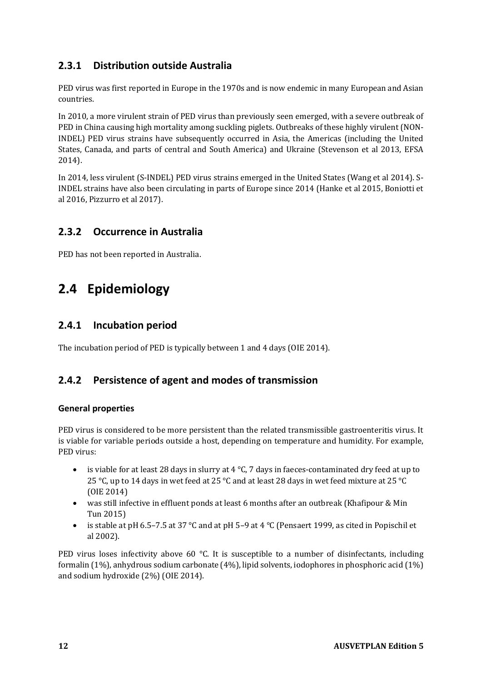## **2.3.1 Distribution outside Australia**

PED virus was first reported in Europe in the 1970s and is now endemic in many European and Asian countries.

In 2010, a more virulent strain of PED virus than previously seen emerged, with a severe outbreak of PED in China causing high mortality among suckling piglets. Outbreaks of these highly virulent (NON-INDEL) PED virus strains have subsequently occurred in Asia, the Americas (including the United States, Canada, and parts of central and South America) and Ukraine (Stevenson et al 2013, EFSA 2014).

In 2014, less virulent (S-INDEL) PED virus strains emerged in the United States (Wang et al 2014). S-INDEL strains have also been circulating in parts of Europe since 2014 (Hanke et al 2015, Boniotti et al 2016, Pizzurro et al 2017).

## **2.3.2 Occurrence in Australia**

PED has not been reported in Australia.

## **2.4 Epidemiology**

## **2.4.1 Incubation period**

The incubation period of PED is typically between 1 and 4 days (OIE 2014).

## **2.4.2 Persistence of agent and modes of transmission**

### **General properties**

PED virus is considered to be more persistent than the related transmissible gastroenteritis virus. It is viable for variable periods outside a host, depending on temperature and humidity. For example, PED virus:

- is viable for at least 28 days in slurry at 4 °C, 7 days in faeces-contaminated dry feed at up to 25 °C, up to 14 days in wet feed at 25 °C and at least 28 days in wet feed mixture at 25 °C (OIE 2014)
- was still infective in effluent ponds at least 6 months after an outbreak (Khafipour & Min Tun 2015)
- is stable at pH 6.5–7.5 at 37 °C and at pH 5–9 at 4 °C (Pensaert 1999, as cited in Popischil et al 2002).

PED virus loses infectivity above 60 °C. It is susceptible to a number of disinfectants, including formalin (1%), anhydrous sodium carbonate (4%), lipid solvents, iodophores in phosphoric acid (1%) and sodium hydroxide (2%) (OIE 2014).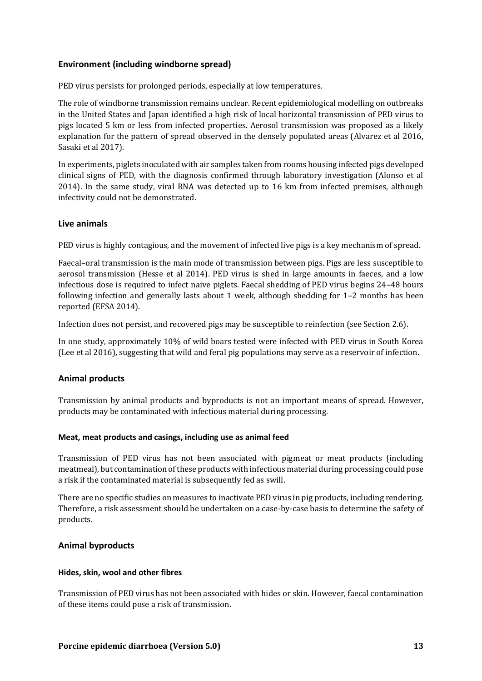### **Environment (including windborne spread)**

PED virus persists for prolonged periods, especially at low temperatures.

The role of windborne transmission remains unclear. Recent epidemiological modelling on outbreaks in the United States and Japan identified a high risk of local horizontal transmission of PED virus to pigs located 5 km or less from infected properties. Aerosol transmission was proposed as a likely explanation for the pattern of spread observed in the densely populated areas (Alvarez et al 2016, Sasaki et al 2017).

In experiments, piglets inoculated with air samples taken from rooms housing infected pigs developed clinical signs of PED, with the diagnosis confirmed through laboratory investigation (Alonso et al 2014). In the same study, viral RNA was detected up to 16 km from infected premises, although infectivity could not be demonstrated.

#### **Live animals**

PED virus is highly contagious, and the movement of infected live pigs is a key mechanism of spread.

Faecal–oral transmission is the main mode of transmission between pigs. Pigs are less susceptible to aerosol transmission (Hesse et al 2014). PED virus is shed in large amounts in faeces, and a low infectious dose is required to infect naive piglets. Faecal shedding of PED virus begins 24–48 hours following infection and generally lasts about 1 week, although shedding for 1–2 months has been reported (EFSA 2014).

Infection does not persist, and recovered pigs may be susceptible to reinfection (see Section 2.6).

In one study, approximately 10% of wild boars tested were infected with PED virus in South Korea (Lee et al 2016), suggesting that wild and feral pig populations may serve as a reservoir of infection.

### **Animal products**

Transmission by animal products and byproducts is not an important means of spread. However, products may be contaminated with infectious material during processing.

#### **Meat, meat products and casings, including use as animal feed**

Transmission of PED virus has not been associated with pigmeat or meat products (including meatmeal), but contamination of these products with infectious material during processing could pose a risk if the contaminated material is subsequently fed as swill.

There are no specific studies on measures to inactivate PED virus in pig products, including rendering. Therefore, a risk assessment should be undertaken on a case-by-case basis to determine the safety of products.

#### **Animal byproducts**

#### **Hides, skin, wool and other fibres**

Transmission of PED virus has not been associated with hides or skin. However, faecal contamination of these items could pose a risk of transmission.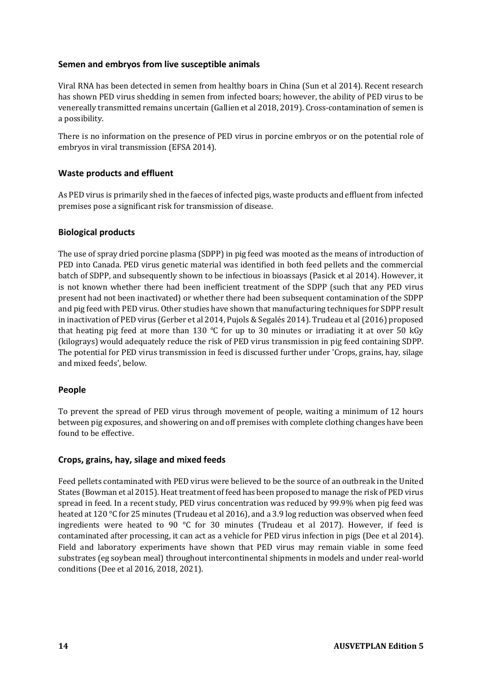### **Semen and embryos from live susceptible animals**

Viral RNA has been detected in semen from healthy boars in China (Sun et al 2014). Recent research has shown PED virus shedding in semen from infected boars; however, the ability of PED virus to be venereally transmitted remains uncertain (Gallien et al 2018, 2019). Cross-contamination of semen is a possibility.

There is no information on the presence of PED virus in porcine embryos or on the potential role of embryos in viral transmission (EFSA 2014).

### **Waste products and effluent**

As PED virus is primarily shed in the faeces of infected pigs, waste products and effluent from infected premises pose a significant risk for transmission of disease.

### **Biological products**

The use of spray dried porcine plasma (SDPP) in pig feed was mooted as the means of introduction of PED into Canada. PED virus genetic material was identified in both feed pellets and the commercial batch of SDPP, and subsequently shown to be infectious in bioassays (Pasick et al 2014). However, it is not known whether there had been inefficient treatment of the SDPP (such that any PED virus present had not been inactivated) or whether there had been subsequent contamination of the SDPP and pig feed with PED virus. Other studies have shown that manufacturing techniques for SDPP result in inactivation of PED virus (Gerber et al 2014, Pujols & Segalés 2014). Trudeau et al (2016) proposed that heating pig feed at more than 130  $\degree$ C for up to 30 minutes or irradiating it at over 50 kGy (kilograys) would adequately reduce the risk of PED virus transmission in pig feed containing SDPP. The potential for PED virus transmission in feed is discussed further under 'Crops, grains, hay, silage and mixed feeds', below.

### **People**

To prevent the spread of PED virus through movement of people, waiting a minimum of 12 hours between pig exposures, and showering on and off premises with complete clothing changes have been found to be effective.

### **Crops, grains, hay, silage and mixed feeds**

Feed pellets contaminated with PED virus were believed to be the source of an outbreak in the United States (Bowman et al 2015). Heat treatment of feed has been proposed to manage the risk of PED virus spread in feed. In a recent study, PED virus concentration was reduced by 99.9% when pig feed was heated at 120 °C for 25 minutes (Trudeau et al 2016), and a 3.9 log reduction was observed when feed ingredients were heated to 90 °C for 30 minutes (Trudeau et al 2017). However, if feed is contaminated after processing, it can act as a vehicle for PED virus infection in pigs (Dee et al 2014). Field and laboratory experiments have shown that PED virus may remain viable in some feed substrates (eg soybean meal) throughout intercontinental shipments in models and under real-world conditions (Dee et al 2016, 2018, 2021).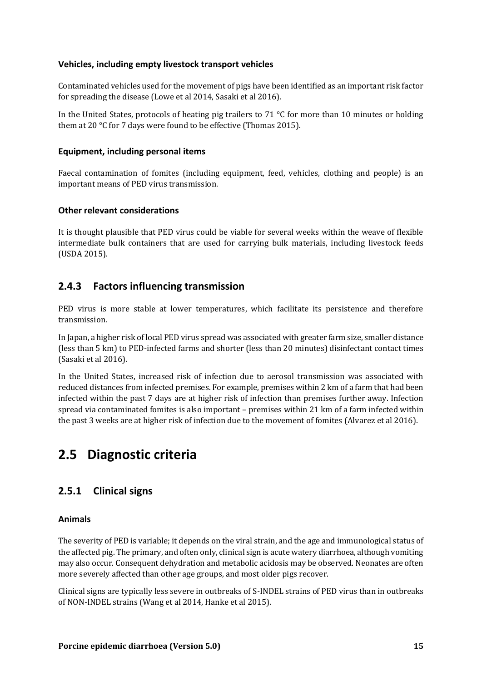#### **Vehicles, including empty livestock transport vehicles**

Contaminated vehicles used for the movement of pigs have been identified as an important risk factor for spreading the disease (Lowe et al 2014, Sasaki et al 2016).

In the United States, protocols of heating pig trailers to 71 °C for more than 10 minutes or holding them at 20 °C for 7 days were found to be effective (Thomas 2015).

#### **Equipment, including personal items**

Faecal contamination of fomites (including equipment, feed, vehicles, clothing and people) is an important means of PED virus transmission.

#### **Other relevant considerations**

It is thought plausible that PED virus could be viable for several weeks within the weave of flexible intermediate bulk containers that are used for carrying bulk materials, including livestock feeds (USDA 2015).

### **2.4.3 Factors influencing transmission**

PED virus is more stable at lower temperatures, which facilitate its persistence and therefore transmission.

In Japan, a higher risk of local PED virus spread was associated with greater farm size, smaller distance (less than 5 km) to PED-infected farms and shorter (less than 20 minutes) disinfectant contact times (Sasaki et al 2016).

In the United States, increased risk of infection due to aerosol transmission was associated with reduced distances from infected premises. For example, premises within 2 km of a farm that had been infected within the past 7 days are at higher risk of infection than premises further away. Infection spread via contaminated fomites is also important – premises within 21 km of a farm infected within the past 3 weeks are at higher risk of infection due to the movement of fomites (Alvarez et al 2016).

## **2.5 Diagnostic criteria**

## **2.5.1 Clinical signs**

#### **Animals**

The severity of PED is variable; it depends on the viral strain, and the age and immunological status of the affected pig. The primary, and often only, clinical sign is acute watery diarrhoea, although vomiting may also occur. Consequent dehydration and metabolic acidosis may be observed. Neonates are often more severely affected than other age groups, and most older pigs recover.

Clinical signs are typically less severe in outbreaks of S-INDEL strains of PED virus than in outbreaks of NON-INDEL strains (Wang et al 2014, Hanke et al 2015).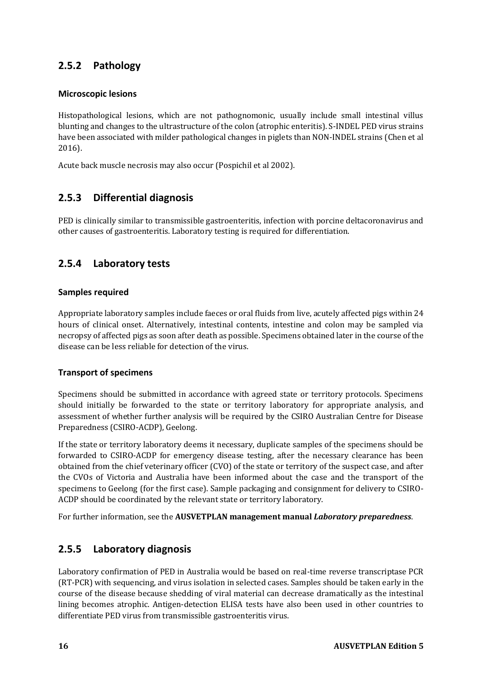## **2.5.2 Pathology**

### **Microscopic lesions**

Histopathological lesions, which are not pathognomonic, usually include small intestinal villus blunting and changes to the ultrastructure of the colon (atrophic enteritis). S-INDEL PED virus strains have been associated with milder pathological changes in piglets than NON-INDEL strains (Chen et al 2016).

Acute back muscle necrosis may also occur (Pospichil et al 2002).

## **2.5.3 Differential diagnosis**

PED is clinically similar to transmissible gastroenteritis, infection with porcine deltacoronavirus and other causes of gastroenteritis. Laboratory testing is required for differentiation.

## **2.5.4 Laboratory tests**

### **Samples required**

Appropriate laboratory samples include faeces or oral fluids from live, acutely affected pigs within 24 hours of clinical onset. Alternatively, intestinal contents, intestine and colon may be sampled via necropsy of affected pigs as soon after death as possible. Specimens obtained later in the course of the disease can be less reliable for detection of the virus.

### **Transport of specimens**

Specimens should be submitted in accordance with agreed state or territory protocols. Specimens should initially be forwarded to the state or territory laboratory for appropriate analysis, and assessment of whether further analysis will be required by the CSIRO Australian Centre for Disease Preparedness (CSIRO-ACDP), Geelong.

If the state or territory laboratory deems it necessary, duplicate samples of the specimens should be forwarded to CSIRO-ACDP for emergency disease testing, after the necessary clearance has been obtained from the chief veterinary officer (CVO) of the state or territory of the suspect case, and after the CVOs of Victoria and Australia have been informed about the case and the transport of the specimens to Geelong (for the first case). Sample packaging and consignment for delivery to CSIRO-ACDP should be coordinated by the relevant state or territory laboratory.

For further information, see the **AUSVETPLAN management manual** *Laboratory preparedness*.

## **2.5.5 Laboratory diagnosis**

Laboratory confirmation of PED in Australia would be based on real-time reverse transcriptase PCR (RT-PCR) with sequencing, and virus isolation in selected cases. Samples should be taken early in the course of the disease because shedding of viral material can decrease dramatically as the intestinal lining becomes atrophic. Antigen-detection ELISA tests have also been used in other countries to differentiate PED virus from transmissible gastroenteritis virus.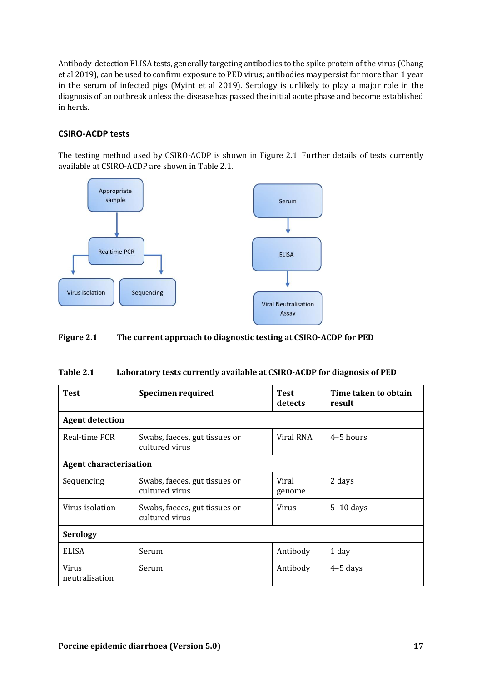Antibody-detection ELISA tests, generally targeting antibodies to the spike protein of the virus (Chang et al 2019), can be used to confirm exposure to PED virus; antibodies may persist for more than 1 year in the serum of infected pigs (Myint et al 2019). Serology is unlikely to play a major role in the diagnosis of an outbreak unless the disease has passed the initial acute phase and become established in herds.

### **CSIRO-ACDP tests**

The testing method used by CSIRO-ACDP is shown in Figure 2.1. Further details of tests currently available at CSIRO-ACDP are shown in Table 2.1.



#### <span id="page-16-1"></span>**Figure 2.1 The current approach to diagnostic testing at CSIRO-ACDP for PED**

<span id="page-16-0"></span>

| Table 2.1 |  | Laboratory tests currently available at CSIRO-ACDP for diagnosis of PED |
|-----------|--|-------------------------------------------------------------------------|
|-----------|--|-------------------------------------------------------------------------|

| <b>Test</b>                    | <b>Specimen required</b>                        | <b>Test</b><br>detects | Time taken to obtain<br>result |  |  |
|--------------------------------|-------------------------------------------------|------------------------|--------------------------------|--|--|
| <b>Agent detection</b>         |                                                 |                        |                                |  |  |
| Real-time PCR                  | Swabs, faeces, gut tissues or<br>cultured virus | Viral RNA              | $4-5$ hours                    |  |  |
|                                | <b>Agent characterisation</b>                   |                        |                                |  |  |
| Sequencing                     | Swabs, faeces, gut tissues or<br>cultured virus | Viral<br>genome        | 2 days                         |  |  |
| Virus isolation                | Swabs, faeces, gut tissues or<br>cultured virus | <b>Virus</b>           | $5-10$ days                    |  |  |
| <b>Serology</b>                |                                                 |                        |                                |  |  |
| <b>ELISA</b>                   | Serum                                           | Antibody               | 1 day                          |  |  |
| <b>Virus</b><br>neutralisation | Serum                                           | Antibody               | $4-5$ days                     |  |  |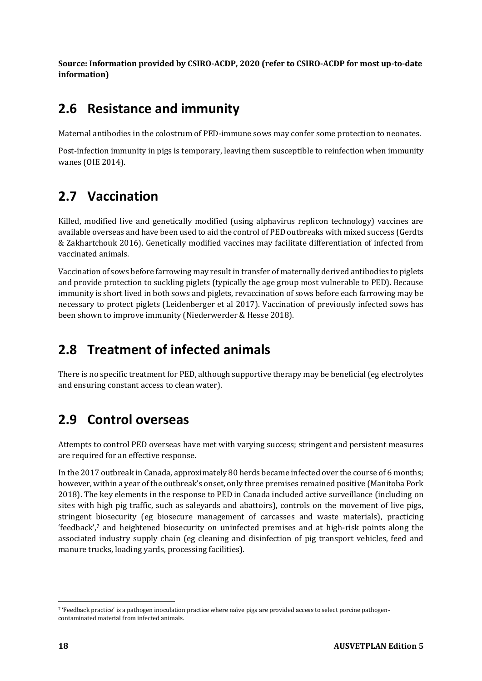**Source: Information provided by CSIRO‑ACDP, 2020 (refer to CSIRO‑ACDP for most up‑to‑date information)**

## **2.6 Resistance and immunity**

Maternal antibodies in the colostrum of PED-immune sows may confer some protection to neonates.

Post-infection immunity in pigs is temporary, leaving them susceptible to reinfection when immunity wanes (OIE 2014).

# **2.7 Vaccination**

Killed, modified live and genetically modified (using alphavirus replicon technology) vaccines are available overseas and have been used to aid the control of PED outbreaks with mixed success (Gerdts & Zakhartchouk 2016). Genetically modified vaccines may facilitate differentiation of infected from vaccinated animals.

Vaccination of sows before farrowing may result in transfer of maternally derived antibodies to piglets and provide protection to suckling piglets (typically the age group most vulnerable to PED). Because immunity is short lived in both sows and piglets, revaccination of sows before each farrowing may be necessary to protect piglets (Leidenberger et al 2017). Vaccination of previously infected sows has been shown to improve immunity (Niederwerder & Hesse 2018).

## **2.8 Treatment of infected animals**

There is no specific treatment for PED, although supportive therapy may be beneficial (eg electrolytes and ensuring constant access to clean water).

# **2.9 Control overseas**

Attempts to control PED overseas have met with varying success; stringent and persistent measures are required for an effective response.

In the 2017 outbreak in Canada, approximately 80 herds became infected over the course of 6 months; however, within a year of the outbreak's onset, only three premises remained positive (Manitoba Pork 2018). The key elements in the response to PED in Canada included active surveillance (including on sites with high pig traffic, such as saleyards and abattoirs), controls on the movement of live pigs, stringent biosecurity (eg biosecure management of carcasses and waste materials), practicing 'feedback',<sup>7</sup> and heightened biosecurity on uninfected premises and at high-risk points along the associated industry supply chain (eg cleaning and disinfection of pig transport vehicles, feed and manure trucks, loading yards, processing facilities).

<sup>7</sup> 'Feedback practice' is a pathogen inoculation practice where naïve pigs are provided access to select porcine pathogencontaminated material from infected animals.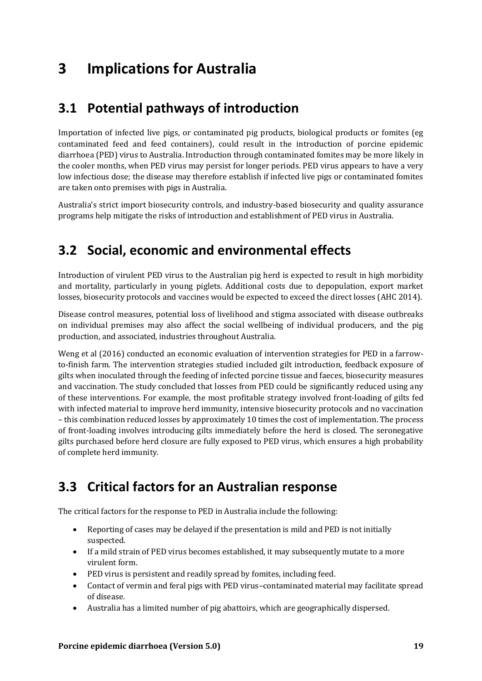# **3 Implications for Australia**

## **3.1 Potential pathways of introduction**

Importation of infected live pigs, or contaminated pig products, biological products or fomites (eg contaminated feed and feed containers), could result in the introduction of porcine epidemic diarrhoea (PED) virus to Australia. Introduction through contaminated fomites may be more likely in the cooler months, when PED virus may persist for longer periods. PED virus appears to have a very low infectious dose; the disease may therefore establish if infected live pigs or contaminated fomites are taken onto premises with pigs in Australia.

Australia's strict import biosecurity controls, and industry-based biosecurity and quality assurance programs help mitigate the risks of introduction and establishment of PED virus in Australia.

## **3.2 Social, economic and environmental effects**

Introduction of virulent PED virus to the Australian pig herd is expected to result in high morbidity and mortality, particularly in young piglets. Additional costs due to depopulation, export market losses, biosecurity protocols and vaccines would be expected to exceed the direct losses (AHC 2014).

Disease control measures, potential loss of livelihood and stigma associated with disease outbreaks on individual premises may also affect the social wellbeing of individual producers, and the pig production, and associated, industries throughout Australia.

Weng et al (2016) conducted an economic evaluation of intervention strategies for PED in a farrowto-finish farm. The intervention strategies studied included gilt introduction, feedback exposure of gilts when inoculated through the feeding of infected porcine tissue and faeces, biosecurity measures and vaccination. The study concluded that losses from PED could be significantly reduced using any of these interventions. For example, the most profitable strategy involved front-loading of gilts fed with infected material to improve herd immunity, intensive biosecurity protocols and no vaccination – this combination reduced losses by approximately 10 times the cost of implementation. The process of front-loading involves introducing gilts immediately before the herd is closed. The seronegative gilts purchased before herd closure are fully exposed to PED virus, which ensures a high probability of complete herd immunity.

# **3.3 Critical factors for an Australian response**

The critical factors for the response to PED in Australia include the following:

- Reporting of cases may be delayed if the presentation is mild and PED is not initially suspected.
- If a mild strain of PED virus becomes established, it may subsequently mutate to a more virulent form.
- PED virus is persistent and readily spread by fomites, including feed.
- Contact of vermin and feral pigs with PED virus–contaminated material may facilitate spread of disease.
- Australia has a limited number of pig abattoirs, which are geographically dispersed.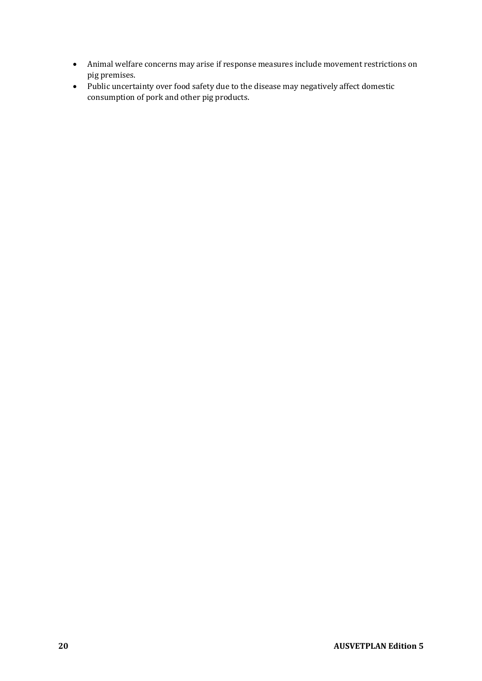- Animal welfare concerns may arise if response measures include movement restrictions on pig premises.
- Public uncertainty over food safety due to the disease may negatively affect domestic consumption of pork and other pig products.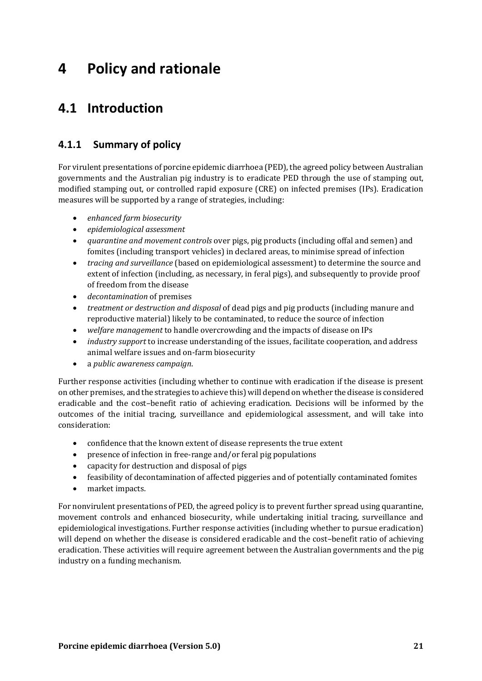# **4 Policy and rationale**

## **4.1 Introduction**

## **4.1.1 Summary of policy**

For virulent presentations of porcine epidemic diarrhoea (PED), the agreed policy between Australian governments and the Australian pig industry is to eradicate PED through the use of stamping out, modified stamping out, or controlled rapid exposure (CRE) on infected premises (IPs). Eradication measures will be supported by a range of strategies, including:

- *enhanced farm biosecurity*
- *epidemiological assessment*
- *quarantine and movement controls* over pigs, pig products (including offal and semen) and fomites (including transport vehicles) in declared areas, to minimise spread of infection
- *tracing and surveillance* (based on epidemiological assessment) to determine the source and extent of infection (including, as necessary, in feral pigs), and subsequently to provide proof of freedom from the disease
- *decontamination* of premises
- *treatment or destruction and disposal* of dead pigs and pig products (including manure and reproductive material) likely to be contaminated, to reduce the source of infection
- *welfare management* to handle overcrowding and the impacts of disease on IPs
- *industry support* to increase understanding of the issues, facilitate cooperation, and address animal welfare issues and on-farm biosecurity
- a *public awareness campaign*.

Further response activities (including whether to continue with eradication if the disease is present on other premises, and the strategies to achieve this) will depend on whether the disease is considered eradicable and the cost–benefit ratio of achieving eradication. Decisions will be informed by the outcomes of the initial tracing, surveillance and epidemiological assessment, and will take into consideration:

- confidence that the known extent of disease represents the true extent
- presence of infection in free-range and/or feral pig populations
- capacity for destruction and disposal of pigs
- feasibility of decontamination of affected piggeries and of potentially contaminated fomites
- market impacts.

For nonvirulent presentations of PED, the agreed policy is to prevent further spread using quarantine, movement controls and enhanced biosecurity, while undertaking initial tracing, surveillance and epidemiological investigations. Further response activities (including whether to pursue eradication) will depend on whether the disease is considered eradicable and the cost–benefit ratio of achieving eradication. These activities will require agreement between the Australian governments and the pig industry on a funding mechanism.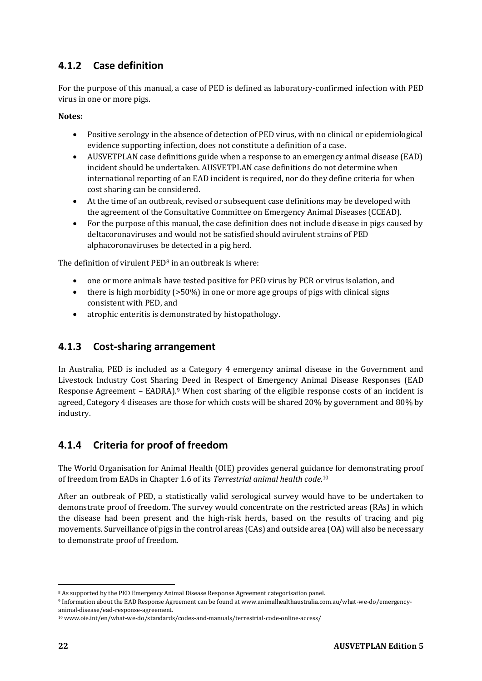## **4.1.2 Case definition**

For the purpose of this manual, a case of PED is defined as laboratory-confirmed infection with PED virus in one or more pigs.

**Notes:**

- Positive serology in the absence of detection of PED virus, with no clinical or epidemiological evidence supporting infection, does not constitute a definition of a case.
- AUSVETPLAN case definitions guide when a response to an emergency animal disease (EAD) incident should be undertaken. AUSVETPLAN case definitions do not determine when international reporting of an EAD incident is required, nor do they define criteria for when cost sharing can be considered.
- At the time of an outbreak, revised or subsequent case definitions may be developed with the agreement of the Consultative Committee on Emergency Animal Diseases (CCEAD).
- For the purpose of this manual, the case definition does not include disease in pigs caused by deltacoronaviruses and would not be satisfied should avirulent strains of PED alphacoronaviruses be detected in a pig herd.

The definition of virulent PED<sup>8</sup> in an outbreak is where:

- one or more animals have tested positive for PED virus by PCR or virus isolation, and
- there is high morbidity (>50%) in one or more age groups of pigs with clinical signs consistent with PED, and
- atrophic enteritis is demonstrated by histopathology.

## **4.1.3 Cost-sharing arrangement**

In Australia, PED is included as a Category 4 emergency animal disease in the Government and Livestock Industry Cost Sharing Deed in Respect of Emergency Animal Disease Responses (EAD Response Agreement – EADRA).<sup>9</sup> When cost sharing of the eligible response costs of an incident is agreed, Category 4 diseases are those for which costs will be shared 20% by government and 80% by industry.

## **4.1.4 Criteria for proof of freedom**

The World Organisation for Animal Health (OIE) provides general guidance for demonstrating proof of freedom from EADs in Chapter 1.6 of its *Terrestrial animal health code*. 10

After an outbreak of PED, a statistically valid serological survey would have to be undertaken to demonstrate proof of freedom. The survey would concentrate on the restricted areas (RAs) in which the disease had been present and the high-risk herds, based on the results of tracing and pig movements. Surveillance of pigs in the control areas (CAs) and outside area (OA) will also be necessary to demonstrate proof of freedom.

<sup>8</sup> As supported by the PED Emergency Animal Disease Response Agreement categorisation panel.

<sup>9</sup> Information about the EAD Response Agreement can be found at www.animalhealthaustralia.com.au/what-we-do/emergencyanimal-disease/ead-response-agreement.

<sup>10</sup> www.oie.int/en/what-we-do/standards/codes-and-manuals/terrestrial-code-online-access/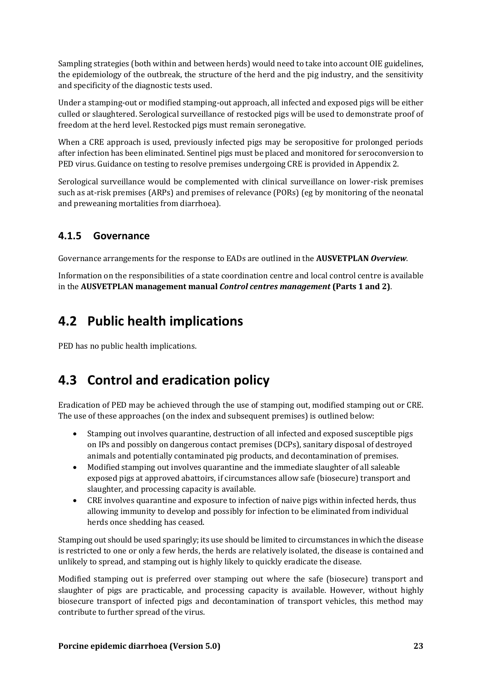Sampling strategies (both within and between herds) would need to take into account OIE guidelines, the epidemiology of the outbreak, the structure of the herd and the pig industry, and the sensitivity and specificity of the diagnostic tests used.

Under a stamping-out or modified stamping-out approach, all infected and exposed pigs will be either culled or slaughtered. Serological surveillance of restocked pigs will be used to demonstrate proof of freedom at the herd level. Restocked pigs must remain seronegative.

When a CRE approach is used, previously infected pigs may be seropositive for prolonged periods after infection has been eliminated. Sentinel pigs must be placed and monitored for seroconversion to PED virus. Guidance on testing to resolve premises undergoing CRE is provided in Appendix 2.

Serological surveillance would be complemented with clinical surveillance on lower-risk premises such as at-risk premises (ARPs) and premises of relevance (PORs) (eg by monitoring of the neonatal and preweaning mortalities from diarrhoea).

## **4.1.5 Governance**

Governance arrangements for the response to EADs are outlined in the **AUSVETPLAN** *Overview*.

Information on the responsibilities of a state coordination centre and local control centre is available in the **AUSVETPLAN management manual** *Control centres management* **(Parts 1 and 2)**.

## **4.2 Public health implications**

PED has no public health implications.

# **4.3 Control and eradication policy**

Eradication of PED may be achieved through the use of stamping out, modified stamping out or CRE. The use of these approaches (on the index and subsequent premises) is outlined below:

- Stamping out involves quarantine, destruction of all infected and exposed susceptible pigs on IPs and possibly on dangerous contact premises (DCPs), sanitary disposal of destroyed animals and potentially contaminated pig products, and decontamination of premises.
- Modified stamping out involves quarantine and the immediate slaughter of all saleable exposed pigs at approved abattoirs, if circumstances allow safe (biosecure) transport and slaughter, and processing capacity is available.
- CRE involves quarantine and exposure to infection of naive pigs within infected herds, thus allowing immunity to develop and possibly for infection to be eliminated from individual herds once shedding has ceased.

Stamping out should be used sparingly; its use should be limited to circumstances in which the disease is restricted to one or only a few herds, the herds are relatively isolated, the disease is contained and unlikely to spread, and stamping out is highly likely to quickly eradicate the disease.

Modified stamping out is preferred over stamping out where the safe (biosecure) transport and slaughter of pigs are practicable, and processing capacity is available. However, without highly biosecure transport of infected pigs and decontamination of transport vehicles, this method may contribute to further spread of the virus.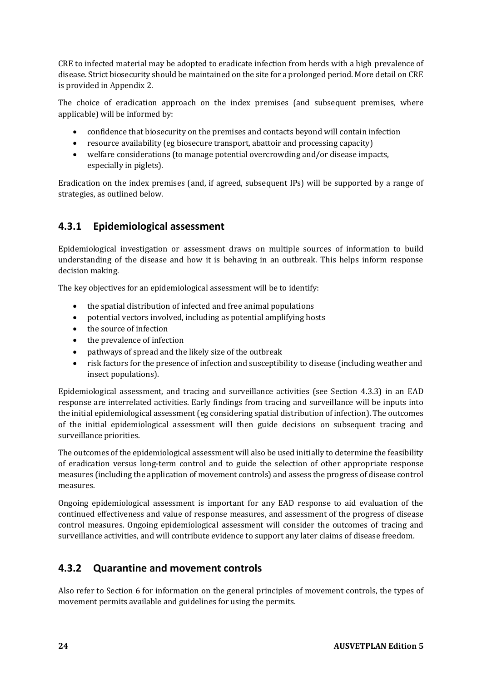CRE to infected material may be adopted to eradicate infection from herds with a high prevalence of disease. Strict biosecurity should be maintained on the site for a prolonged period. More detail on CRE is provided in Appendix 2.

The choice of eradication approach on the index premises (and subsequent premises, where applicable) will be informed by:

- confidence that biosecurity on the premises and contacts beyond will contain infection
- resource availability (eg biosecure transport, abattoir and processing capacity)
- welfare considerations (to manage potential overcrowding and/or disease impacts, especially in piglets).

Eradication on the index premises (and, if agreed, subsequent IPs) will be supported by a range of strategies, as outlined below.

## **4.3.1 Epidemiological assessment**

Epidemiological investigation or assessment draws on multiple sources of information to build understanding of the disease and how it is behaving in an outbreak. This helps inform response decision making.

The key objectives for an epidemiological assessment will be to identify:

- the spatial distribution of infected and free animal populations
- potential vectors involved, including as potential amplifying hosts
- the source of infection
- the prevalence of infection
- pathways of spread and the likely size of the outbreak
- risk factors for the presence of infection and susceptibility to disease (including weather and insect populations).

Epidemiological assessment, and tracing and surveillance activities (see Section [4.3.3\)](#page-26-0) in an EAD response are interrelated activities. Early findings from tracing and surveillance will be inputs into the initial epidemiological assessment (eg considering spatial distribution of infection). The outcomes of the initial epidemiological assessment will then guide decisions on subsequent tracing and surveillance priorities.

The outcomes of the epidemiological assessment will also be used initially to determine the feasibility of eradication versus long-term control and to guide the selection of other appropriate response measures (including the application of movement controls) and assess the progress of disease control measures.

Ongoing epidemiological assessment is important for any EAD response to aid evaluation of the continued effectiveness and value of response measures, and assessment of the progress of disease control measures. Ongoing epidemiological assessment will consider the outcomes of tracing and surveillance activities, and will contribute evidence to support any later claims of disease freedom.

## **4.3.2 Quarantine and movement controls**

Also refer to Section 6 for information on the general principles of movement controls, the types of movement permits available and guidelines for using the permits.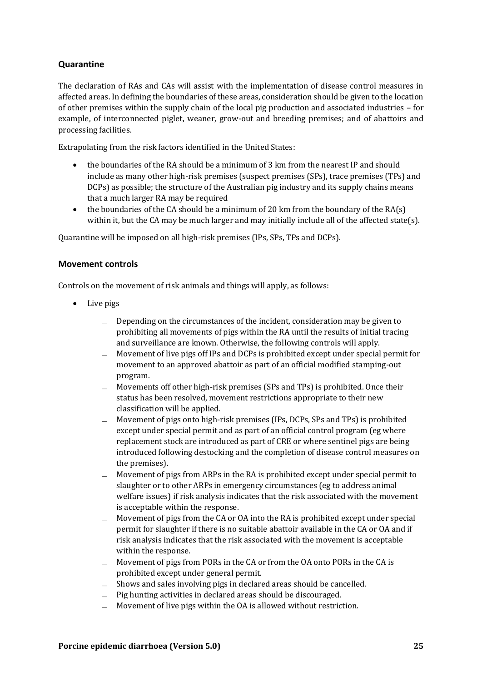### **Quarantine**

The declaration of RAs and CAs will assist with the implementation of disease control measures in affected areas. In defining the boundaries of these areas, consideration should be given to the location of other premises within the supply chain of the local pig production and associated industries – for example, of interconnected piglet, weaner, grow-out and breeding premises; and of abattoirs and processing facilities.

Extrapolating from the risk factors identified in the United States:

- the boundaries of the RA should be a minimum of 3 km from the nearest IP and should include as many other high-risk premises (suspect premises (SPs), trace premises (TPs) and DCPs) as possible; the structure of the Australian pig industry and its supply chains means that a much larger RA may be required
- the boundaries of the CA should be a minimum of 20 km from the boundary of the  $RA(s)$ within it, but the CA may be much larger and may initially include all of the affected state(s).

Quarantine will be imposed on all high-risk premises (IPs, SPs, TPs and DCPs).

#### **Movement controls**

Controls on the movement of risk animals and things will apply, as follows:

- Live pigs
	- $\Box$  Depending on the circumstances of the incident, consideration may be given to prohibiting all movements of pigs within the RA until the results of initial tracing and surveillance are known. Otherwise, the following controls will apply.
	- ̶ Movement of live pigs off IPs and DCPs is prohibited except under special permit for movement to an approved abattoir as part of an official modified stamping-out program.
	- ̶ Movements off other high-risk premises (SPs and TPs) is prohibited. Once their status has been resolved, movement restrictions appropriate to their new classification will be applied.
	- ̶ Movement of pigs onto high-risk premises (IPs, DCPs, SPs and TPs) is prohibited except under special permit and as part of an official control program (eg where replacement stock are introduced as part of CRE or where sentinel pigs are being introduced following destocking and the completion of disease control measures on the premises).
	- ̶ Movement of pigs from ARPs in the RA is prohibited except under special permit to slaughter or to other ARPs in emergency circumstances (eg to address animal welfare issues) if risk analysis indicates that the risk associated with the movement is acceptable within the response.
	- $\equiv$  Movement of pigs from the CA or OA into the RA is prohibited except under special permit for slaughter if there is no suitable abattoir available in the CA or OA and if risk analysis indicates that the risk associated with the movement is acceptable within the response.
	- ̶ Movement of pigs from PORs in the CA or from the OA onto PORs in the CA is prohibited except under general permit.
	- ̶ Shows and sales involving pigs in declared areas should be cancelled.
	- ̶ Pig hunting activities in declared areas should be discouraged.
	- Movement of live pigs within the OA is allowed without restriction.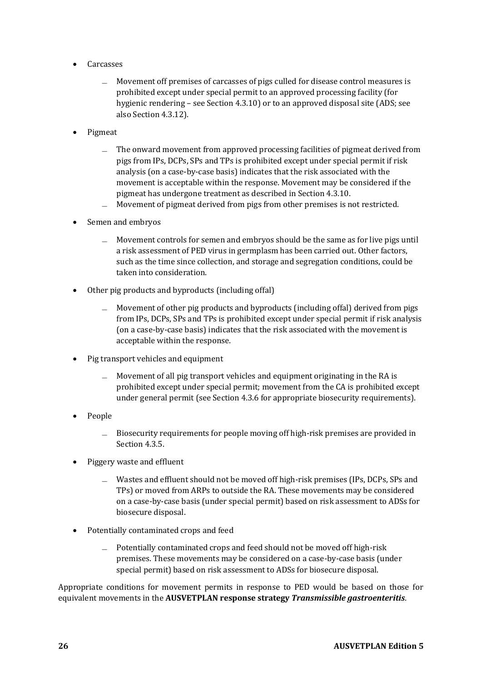- Carcasses
	- ̶ Movement off premises of carcasses of pigs culled for disease control measures is prohibited except under special permit to an approved processing facility (for hygienic rendering – see Section 4.3.10) or to an approved disposal site (ADS; see also Section 4.3.12).
- Pigmeat
	- ̶ The onward movement from approved processing facilities of pigmeat derived from pigs from IPs, DCPs, SPs and TPs is prohibited except under special permit if risk analysis (on a case-by-case basis) indicates that the risk associated with the movement is acceptable within the response. Movement may be considered if the pigmeat has undergone treatment as described in Section 4.3.10.
	- ̶ Movement of pigmeat derived from pigs from other premises is not restricted.
- Semen and embryos
	- ̶ Movement controls for semen and embryos should be the same as for live pigs until a risk assessment of PED virus in germplasm has been carried out. Other factors, such as the time since collection, and storage and segregation conditions, could be taken into consideration.
- Other pig products and byproducts (including offal)
	- ̶ Movement of other pig products and byproducts (including offal) derived from pigs from IPs, DCPs, SPs and TPs is prohibited except under special permit if risk analysis (on a case-by-case basis) indicates that the risk associated with the movement is acceptable within the response.
- Pig transport vehicles and equipment
	- ̶ Movement of all pig transport vehicles and equipment originating in the RA is prohibited except under special permit; movement from the CA is prohibited except under general permit (see Section 4.3.6 for appropriate biosecurity requirements).
- People
	- ̶ Biosecurity requirements for people moving off high-risk premises are provided in Section 4.3.5.
- Piggery waste and effluent
	- Wastes and effluent should not be moved off high-risk premises (IPs, DCPs, SPs and TPs) or moved from ARPs to outside the RA. These movements may be considered on a case-by-case basis (under special permit) based on risk assessment to ADSs for biosecure disposal.
- Potentially contaminated crops and feed
	- ̶ Potentially contaminated crops and feed should not be moved off high-risk premises. These movements may be considered on a case-by-case basis (under special permit) based on risk assessment to ADSs for biosecure disposal.

Appropriate conditions for movement permits in response to PED would be based on those for equivalent movements in the **AUSVETPLAN response strategy** *Transmissible gastroenteritis*.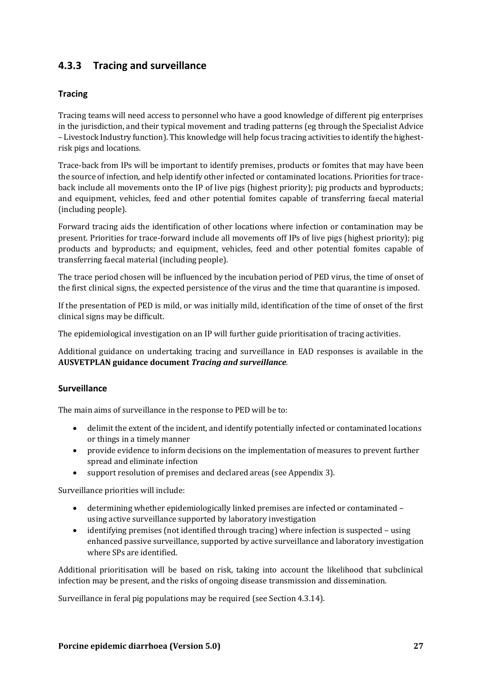## <span id="page-26-0"></span>**4.3.3 Tracing and surveillance**

### **Tracing**

Tracing teams will need access to personnel who have a good knowledge of different pig enterprises in the jurisdiction, and their typical movement and trading patterns (eg through the Specialist Advice – Livestock Industry function). This knowledge will help focus tracing activities to identify the highestrisk pigs and locations.

Trace-back from IPs will be important to identify premises, products or fomites that may have been the source of infection, and help identify other infected or contaminated locations. Priorities for traceback include all movements onto the IP of live pigs (highest priority); pig products and byproducts; and equipment, vehicles, feed and other potential fomites capable of transferring faecal material (including people).

Forward tracing aids the identification of other locations where infection or contamination may be present. Priorities for trace-forward include all movements off IPs of live pigs (highest priority); pig products and byproducts; and equipment, vehicles, feed and other potential fomites capable of transferring faecal material (including people).

The trace period chosen will be influenced by the incubation period of PED virus, the time of onset of the first clinical signs, the expected persistence of the virus and the time that quarantine is imposed.

If the presentation of PED is mild, or was initially mild, identification of the time of onset of the first clinical signs may be difficult.

The epidemiological investigation on an IP will further guide prioritisation of tracing activities.

Additional guidance on undertaking tracing and surveillance in EAD responses is available in the **AUSVETPLAN guidance document** *Tracing and surveillance.*

### **Surveillance**

The main aims of surveillance in the response to PED will be to:

- delimit the extent of the incident, and identify potentially infected or contaminated locations or things in a timely manner
- provide evidence to inform decisions on the implementation of measures to prevent further spread and eliminate infection
- support resolution of premises and declared areas (see Appendix 3).

Surveillance priorities will include:

- determining whether epidemiologically linked premises are infected or contaminated using active surveillance supported by laboratory investigation
- identifying premises (not identified through tracing) where infection is suspected using enhanced passive surveillance, supported by active surveillance and laboratory investigation where SPs are identified.

Additional prioritisation will be based on risk, taking into account the likelihood that subclinical infection may be present, and the risks of ongoing disease transmission and dissemination.

Surveillance in feral pig populations may be required (see Section 4.3.14).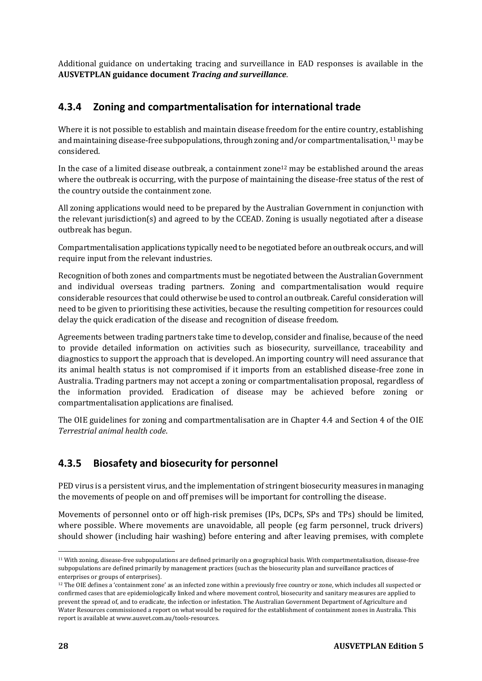Additional guidance on undertaking tracing and surveillance in EAD responses is available in the **AUSVETPLAN guidance document** *Tracing and surveillance*.

## **4.3.4 Zoning and compartmentalisation for international trade**

Where it is not possible to establish and maintain disease freedom for the entire country, establishing and maintaining disease-free subpopulations, through zoning and/or compartmentalisation,<sup>11</sup> may be considered.

In the case of a limited disease outbreak, a containment zone<sup>12</sup> may be established around the areas where the outbreak is occurring, with the purpose of maintaining the disease-free status of the rest of the country outside the containment zone.

All zoning applications would need to be prepared by the Australian Government in conjunction with the relevant jurisdiction(s) and agreed to by the CCEAD. Zoning is usually negotiated after a disease outbreak has begun.

Compartmentalisation applications typically need to be negotiated before an outbreak occurs, and will require input from the relevant industries.

Recognition of both zones and compartments must be negotiated between the Australian Government and individual overseas trading partners. Zoning and compartmentalisation would require considerable resources that could otherwise be used to control an outbreak. Careful consideration will need to be given to prioritising these activities, because the resulting competition for resources could delay the quick eradication of the disease and recognition of disease freedom.

Agreements between trading partners take time to develop, consider and finalise, because of the need to provide detailed information on activities such as biosecurity, surveillance, traceability and diagnostics to support the approach that is developed. An importing country will need assurance that its animal health status is not compromised if it imports from an established disease-free zone in Australia. Trading partners may not accept a zoning or compartmentalisation proposal, regardless of the information provided. Eradication of disease may be achieved before zoning or compartmentalisation applications are finalised.

The OIE guidelines for zoning and compartmentalisation are in Chapter 4.4 and Section 4 of the OIE *Terrestrial animal health code*.

## **4.3.5 Biosafety and biosecurity for personnel**

PED virus is a persistent virus, and the implementation of stringent biosecurity measures in managing the movements of people on and off premises will be important for controlling the disease.

Movements of personnel onto or off high-risk premises (IPs, DCPs, SPs and TPs) should be limited, where possible. Where movements are unavoidable, all people (eg farm personnel, truck drivers) should shower (including hair washing) before entering and after leaving premises, with complete

<sup>11</sup> With zoning, disease-free subpopulations are defined primarily on a geographical basis. With compartmentalisation, disease-free subpopulations are defined primarily by management practices (such as the biosecurity plan and surveillance practices of enterprises or groups of enterprises).

<sup>&</sup>lt;sup>12</sup> The OIE defines a 'containment zone' as an infected zone within a previously free country or zone, which includes all suspected or confirmed cases that are epidemiologically linked and where movement control, biosecurity and sanitary measures are applied to prevent the spread of, and to eradicate, the infection or infestation. The Australian Government Department of Agriculture and Water Resources commissioned a report on what would be required for the establishment of containment zones in Australia. This report is available at www.ausvet.com.au/tools-resources.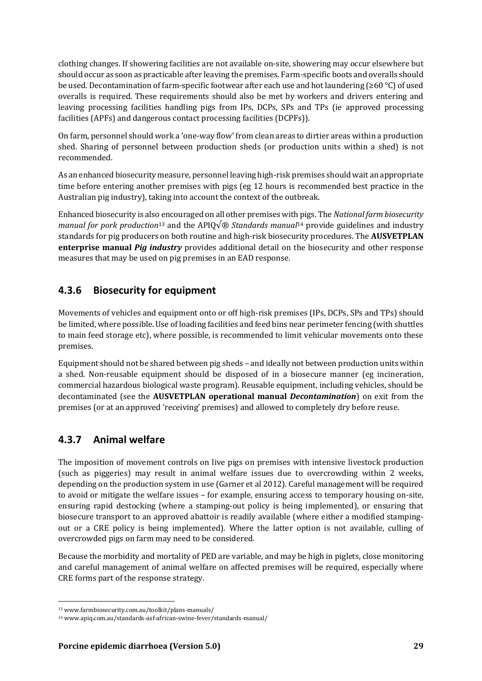clothing changes. If showering facilities are not available on-site, showering may occur elsewhere but should occur as soon as practicable after leaving the premises. Farm-specific boots and overalls should be used. Decontamination of farm-specific footwear after each use and hot laundering (≥60 °C) of used overalls is required. These requirements should also be met by workers and drivers entering and leaving processing facilities handling pigs from IPs, DCPs, SPs and TPs (ie approved processing facilities (APFs) and dangerous contact processing facilities (DCPFs)).

On farm, personnel should work a 'one-way flow' from clean areas to dirtier areas within a production shed. Sharing of personnel between production sheds (or production units within a shed) is not recommended.

As an enhanced biosecurity measure, personnel leaving high-risk premises should wait an appropriate time before entering another premises with pigs (eg 12 hours is recommended best practice in the Australian pig industry), taking into account the context of the outbreak.

Enhanced biosecurity is also encouraged on all other premises with pigs. The *National farm biosecurity manual for pork production*<sup>13</sup> and the APIQ $\sqrt{\mathcal{B}}$  *Standards manual*<sup>14</sup> provide guidelines and industry standards for pig producers on both routine and high-risk biosecurity procedures. The **AUSVETPLAN enterprise manual** *Pig industry* provides additional detail on the biosecurity and other response measures that may be used on pig premises in an EAD response.

## **4.3.6 Biosecurity for equipment**

Movements of vehicles and equipment onto or off high-risk premises (IPs, DCPs, SPs and TPs) should be limited, where possible. Use of loading facilities and feed bins near perimeter fencing (with shuttles to main feed storage etc), where possible, is recommended to limit vehicular movements onto these premises.

Equipment should not be shared between pig sheds – and ideally not between production units within a shed. Non-reusable equipment should be disposed of in a biosecure manner (eg incineration, commercial hazardous biological waste program). Reusable equipment, including vehicles, should be decontaminated (see the **AUSVETPLAN operational manual** *Decontamination*) on exit from the premises (or at an approved 'receiving' premises) and allowed to completely dry before reuse.

## **4.3.7 Animal welfare**

The imposition of movement controls on live pigs on premises with intensive livestock production (such as piggeries) may result in animal welfare issues due to overcrowding within 2 weeks, depending on the production system in use (Garner et al 2012). Careful management will be required to avoid or mitigate the welfare issues – for example, ensuring access to temporary housing on-site, ensuring rapid destocking (where a stamping-out policy is being implemented), or ensuring that biosecure transport to an approved abattoir is readily available (where either a modified stampingout or a CRE policy is being implemented). Where the latter option is not available, culling of overcrowded pigs on farm may need to be considered.

Because the morbidity and mortality of PED are variable, and may be high in piglets, close monitoring and careful management of animal welfare on affected premises will be required, especially where CRE forms part of the response strategy.

<sup>13</sup> www.farmbiosecurity.com.au/toolkit/plans-manuals/

<sup>14</sup> www.apiq.com.au/standards-asf-african-swine-fever/standards-manual/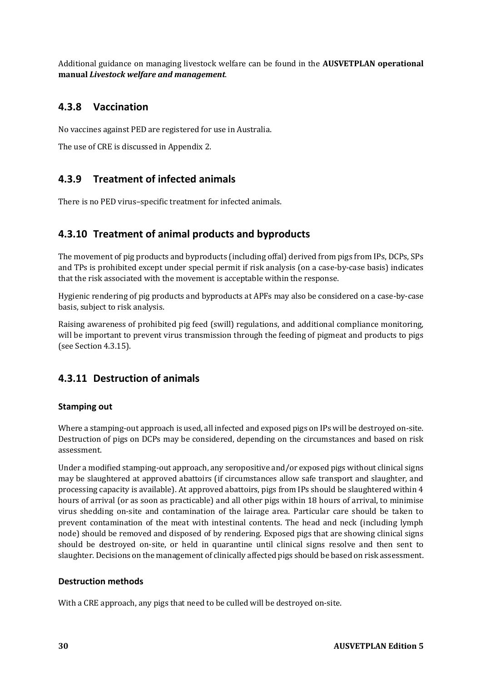Additional guidance on managing livestock welfare can be found in the **AUSVETPLAN operational manual** *Livestock welfare and management*.

## **4.3.8 Vaccination**

No vaccines against PED are registered for use in Australia.

The use of CRE is discussed in Appendix 2.

## **4.3.9 Treatment of infected animals**

There is no PED virus–specific treatment for infected animals.

## **4.3.10 Treatment of animal products and byproducts**

The movement of pig products and byproducts (including offal) derived from pigs from IPs, DCPs, SPs and TPs is prohibited except under special permit if risk analysis (on a case-by-case basis) indicates that the risk associated with the movement is acceptable within the response.

Hygienic rendering of pig products and byproducts at APFs may also be considered on a case-by-case basis, subject to risk analysis.

Raising awareness of prohibited pig feed (swill) regulations, and additional compliance monitoring, will be important to prevent virus transmission through the feeding of pigmeat and products to pigs (see Section 4.3.15).

## **4.3.11 Destruction of animals**

### **Stamping out**

Where a stamping-out approach is used, all infected and exposed pigs on IPs will be destroyed on-site. Destruction of pigs on DCPs may be considered, depending on the circumstances and based on risk assessment.

Under a modified stamping-out approach, any seropositive and/or exposed pigs without clinical signs may be slaughtered at approved abattoirs (if circumstances allow safe transport and slaughter, and processing capacity is available). At approved abattoirs, pigs from IPs should be slaughtered within 4 hours of arrival (or as soon as practicable) and all other pigs within 18 hours of arrival, to minimise virus shedding on-site and contamination of the lairage area. Particular care should be taken to prevent contamination of the meat with intestinal contents. The head and neck (including lymph node) should be removed and disposed of by rendering. Exposed pigs that are showing clinical signs should be destroyed on-site, or held in quarantine until clinical signs resolve and then sent to slaughter. Decisions on the management of clinically affected pigs should be based on risk assessment.

### **Destruction methods**

With a CRE approach, any pigs that need to be culled will be destroyed on-site.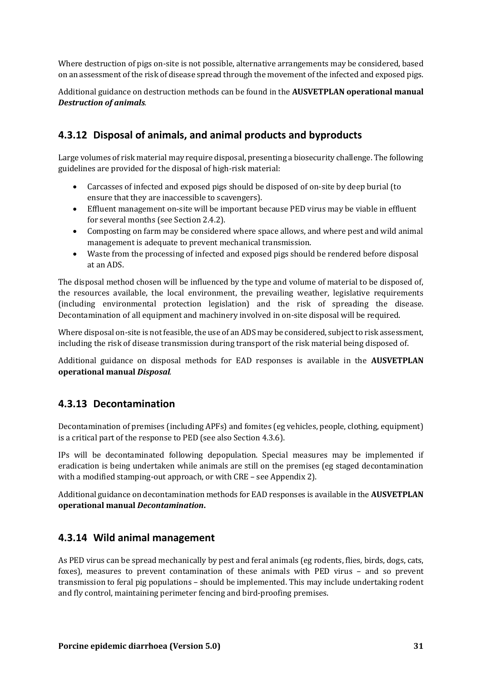Where destruction of pigs on-site is not possible, alternative arrangements may be considered, based on an assessment of the risk of disease spread through the movement of the infected and exposed pigs.

Additional guidance on destruction methods can be found in the **AUSVETPLAN operational manual**  *Destruction of animals.*

## **4.3.12 Disposal of animals, and animal products and byproducts**

Large volumes of risk material may require disposal, presenting a biosecurity challenge. The following guidelines are provided for the disposal of high-risk material:

- Carcasses of infected and exposed pigs should be disposed of on-site by deep burial (to ensure that they are inaccessible to scavengers).
- Effluent management on-site will be important because PED virus may be viable in effluent for several months (see Section 2.4.2).
- Composting on farm may be considered where space allows, and where pest and wild animal management is adequate to prevent mechanical transmission.
- Waste from the processing of infected and exposed pigs should be rendered before disposal at an ADS.

The disposal method chosen will be influenced by the type and volume of material to be disposed of, the resources available, the local environment, the prevailing weather, legislative requirements (including environmental protection legislation) and the risk of spreading the disease. Decontamination of all equipment and machinery involved in on-site disposal will be required.

Where disposal on-site is not feasible, the use of an ADS may be considered, subject to risk assessment, including the risk of disease transmission during transport of the risk material being disposed of.

Additional guidance on disposal methods for EAD responses is available in the **AUSVETPLAN operational manual** *Disposal.*

## **4.3.13 Decontamination**

Decontamination of premises (including APFs) and fomites (eg vehicles, people, clothing, equipment) is a critical part of the response to PED (see also Section 4.3.6).

IPs will be decontaminated following depopulation. Special measures may be implemented if eradication is being undertaken while animals are still on the premises (eg staged decontamination with a modified stamping-out approach, or with CRE – see Appendix 2).

Additional guidance on decontamination methods for EAD responses is available in the **AUSVETPLAN operational manual** *Decontamination***.**

## **4.3.14 Wild animal management**

As PED virus can be spread mechanically by pest and feral animals (eg rodents, flies, birds, dogs, cats, foxes), measures to prevent contamination of these animals with PED virus – and so prevent transmission to feral pig populations – should be implemented. This may include undertaking rodent and fly control, maintaining perimeter fencing and bird-proofing premises.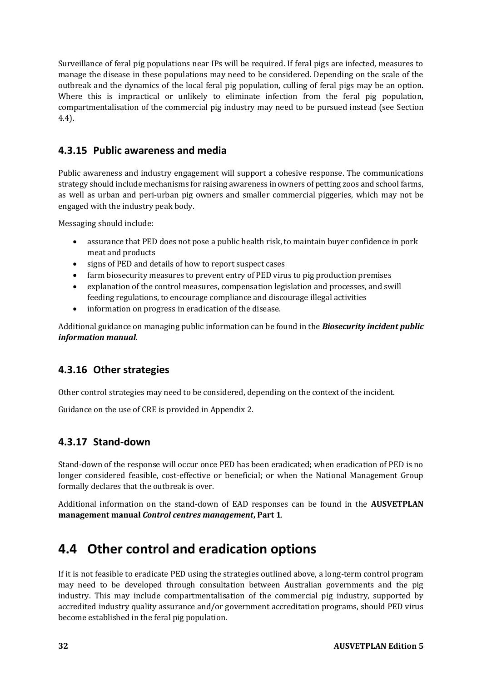Surveillance of feral pig populations near IPs will be required. If feral pigs are infected, measures to manage the disease in these populations may need to be considered. Depending on the scale of the outbreak and the dynamics of the local feral pig population, culling of feral pigs may be an option. Where this is impractical or unlikely to eliminate infection from the feral pig population, compartmentalisation of the commercial pig industry may need to be pursued instead (see Section 4.4).

## **4.3.15 Public awareness and media**

Public awareness and industry engagement will support a cohesive response. The communications strategy should include mechanisms for raising awareness in owners of petting zoos and school farms, as well as urban and peri-urban pig owners and smaller commercial piggeries, which may not be engaged with the industry peak body.

Messaging should include:

- assurance that PED does not pose a public health risk, to maintain buyer confidence in pork meat and products
- signs of PED and details of how to report suspect cases
- farm biosecurity measures to prevent entry of PED virus to pig production premises
- explanation of the control measures, compensation legislation and processes, and swill feeding regulations, to encourage compliance and discourage illegal activities
- information on progress in eradication of the disease.

Additional guidance on managing public information can be found in the *Biosecurity incident public information manual*.

## **4.3.16 Other strategies**

Other control strategies may need to be considered, depending on the context of the incident.

Guidance on the use of CRE is provided in Appendix 2.

## **4.3.17 Stand-down**

Stand-down of the response will occur once PED has been eradicated; when eradication of PED is no longer considered feasible, cost-effective or beneficial; or when the National Management Group formally declares that the outbreak is over.

Additional information on the stand-down of EAD responses can be found in the **AUSVETPLAN management manual** *Control centres management***, Part 1**.

## **4.4 Other control and eradication options**

If it is not feasible to eradicate PED using the strategies outlined above, a long-term control program may need to be developed through consultation between Australian governments and the pig industry. This may include compartmentalisation of the commercial pig industry, supported by accredited industry quality assurance and/or government accreditation programs, should PED virus become established in the feral pig population.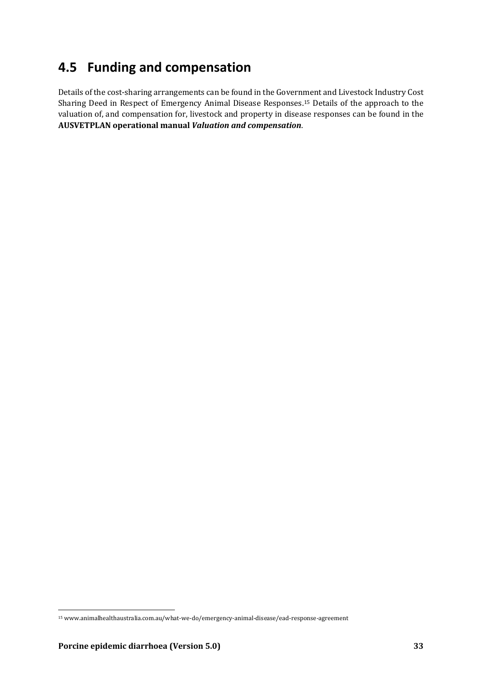## **4.5 Funding and compensation**

Details of the cost-sharing arrangements can be found in the Government and Livestock Industry Cost Sharing Deed in Respect of Emergency Animal Disease Responses.<sup>15</sup> Details of the approach to the valuation of, and compensation for, livestock and property in disease responses can be found in the **AUSVETPLAN operational manual** *Valuation and compensation*.

<sup>15</sup> www.animalhealthaustralia.com.au/what-we-do/emergency-animal-disease/ead-response-agreement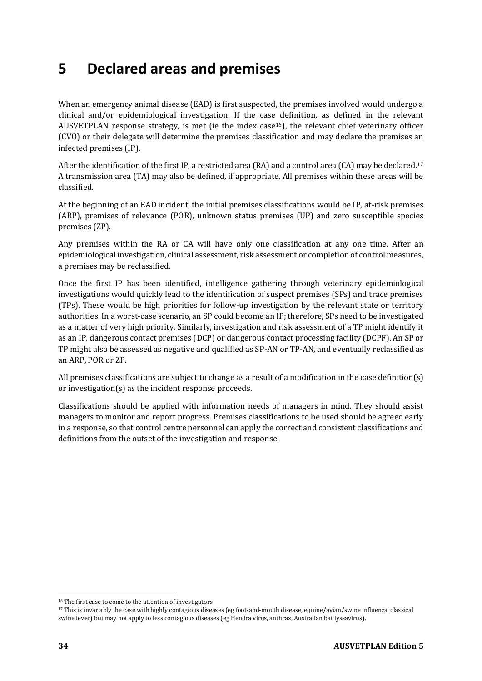# **5 Declared areas and premises**

When an emergency animal disease (EAD) is first suspected, the premises involved would undergo a clinical and/or epidemiological investigation. If the case definition, as defined in the relevant AUSVETPLAN response strategy, is met (ie the index case<sup>16</sup>), the relevant chief veterinary officer (CVO) or their delegate will determine the premises classification and may declare the premises an infected premises (IP).

After the identification of the first IP, a restricted area (RA) and a control area (CA) may be declared.<sup>17</sup> A transmission area (TA) may also be defined, if appropriate. All premises within these areas will be classified.

At the beginning of an EAD incident, the initial premises classifications would be IP, at-risk premises (ARP), premises of relevance (POR), unknown status premises (UP) and zero susceptible species premises (ZP).

Any premises within the RA or CA will have only one classification at any one time. After an epidemiological investigation, clinical assessment, risk assessment or completion of control measures, a premises may be reclassified.

Once the first IP has been identified, intelligence gathering through veterinary epidemiological investigations would quickly lead to the identification of suspect premises (SPs) and trace premises (TPs). These would be high priorities for follow-up investigation by the relevant state or territory authorities. In a worst-case scenario, an SP could become an IP; therefore, SPs need to be investigated as a matter of very high priority. Similarly, investigation and risk assessment of a TP might identify it as an IP, dangerous contact premises (DCP) or dangerous contact processing facility (DCPF). An SP or TP might also be assessed as negative and qualified as SP-AN or TP-AN, and eventually reclassified as an ARP, POR or ZP.

All premises classifications are subject to change as a result of a modification in the case definition(s) or investigation(s) as the incident response proceeds.

Classifications should be applied with information needs of managers in mind. They should assist managers to monitor and report progress. Premises classifications to be used should be agreed early in a response, so that control centre personnel can apply the correct and consistent classifications and definitions from the outset of the investigation and response.

<sup>&</sup>lt;sup>16</sup> The first case to come to the attention of investigators

<sup>17</sup> This is invariably the case with highly contagious diseases (eg foot-and-mouth disease, equine/avian/swine influenza, classical swine fever) but may not apply to less contagious diseases (eg Hendra virus, anthrax, Australian bat lyssavirus).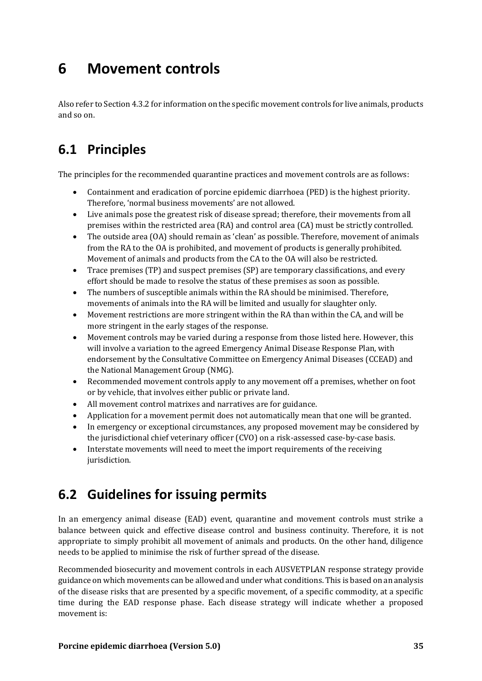# **6 Movement controls**

Also refer to Section 4.3.2 for information on the specific movement controls for live animals, products and so on.

# **6.1 Principles**

The principles for the recommended quarantine practices and movement controls are as follows:

- Containment and eradication of porcine epidemic diarrhoea (PED) is the highest priority. Therefore, 'normal business movements' are not allowed.
- Live animals pose the greatest risk of disease spread; therefore, their movements from all premises within the restricted area (RA) and control area (CA) must be strictly controlled.
- The outside area (OA) should remain as 'clean' as possible. Therefore, movement of animals from the RA to the OA is prohibited, and movement of products is generally prohibited. Movement of animals and products from the CA to the OA will also be restricted.
- Trace premises (TP) and suspect premises (SP) are temporary classifications, and every effort should be made to resolve the status of these premises as soon as possible.
- The numbers of susceptible animals within the RA should be minimised. Therefore, movements of animals into the RA will be limited and usually for slaughter only.
- Movement restrictions are more stringent within the RA than within the CA, and will be more stringent in the early stages of the response.
- Movement controls may be varied during a response from those listed here. However, this will involve a variation to the agreed Emergency Animal Disease Response Plan, with endorsement by the Consultative Committee on Emergency Animal Diseases (CCEAD) and the National Management Group (NMG).
- Recommended movement controls apply to any movement off a premises, whether on foot or by vehicle, that involves either public or private land.
- All movement control matrixes and narratives are for guidance.
- Application for a movement permit does not automatically mean that one will be granted.
- In emergency or exceptional circumstances, any proposed movement may be considered by the jurisdictional chief veterinary officer (CVO) on a risk-assessed case-by-case basis.
- Interstate movements will need to meet the import requirements of the receiving jurisdiction.

## **6.2 Guidelines for issuing permits**

In an emergency animal disease (EAD) event, quarantine and movement controls must strike a balance between quick and effective disease control and business continuity. Therefore, it is not appropriate to simply prohibit all movement of animals and products. On the other hand, diligence needs to be applied to minimise the risk of further spread of the disease.

Recommended biosecurity and movement controls in each AUSVETPLAN response strategy provide guidance on which movements can be allowed and under what conditions. This is based on an analysis of the disease risks that are presented by a specific movement, of a specific commodity, at a specific time during the EAD response phase. Each disease strategy will indicate whether a proposed movement is: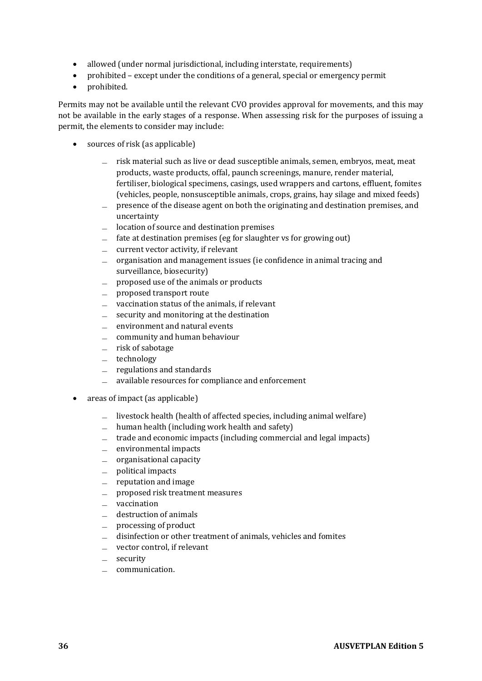- allowed (under normal jurisdictional, including interstate, requirements)
- prohibited except under the conditions of a general, special or emergency permit
- prohibited.

Permits may not be available until the relevant CVO provides approval for movements, and this may not be available in the early stages of a response. When assessing risk for the purposes of issuing a permit, the elements to consider may include:

- sources of risk (as applicable)
	- ̶ risk material such as live or dead susceptible animals, semen, embryos, meat, meat products, waste products, offal, paunch screenings, manure, render material, fertiliser, biological specimens, casings, used wrappers and cartons, effluent, fomites (vehicles, people, nonsusceptible animals, crops, grains, hay silage and mixed feeds)
	- ̶ presence of the disease agent on both the originating and destination premises, and uncertainty
	- ̶ location of source and destination premises
	- fate at destination premises (eg for slaughter vs for growing out)
	- ̶ current vector activity, if relevant
	- ̶ organisation and management issues (ie confidence in animal tracing and surveillance, biosecurity)
	- $\equiv$  proposed use of the animals or products
	- ̶ proposed transport route
	- ̶ vaccination status of the animals, if relevant
	- security and monitoring at the destination
	- ̶ environment and natural events
	- ̶ community and human behaviour
	- ̶ risk of sabotage
	- ̶ technology
	- $=$  regulations and standards
	- ̶ available resources for compliance and enforcement
- areas of impact (as applicable)
	- livestock health (health of affected species, including animal welfare)
	- $\equiv$  human health (including work health and safety)
	- ̶ trade and economic impacts (including commercial and legal impacts)
	- ̶ environmental impacts
	- ̶ organisational capacity
	- ̶ political impacts
	- ̶ reputation and image
	- ̶ proposed risk treatment measures
	- ̶ vaccination
	- destruction of animals
	- ̶ processing of product
	- ̶ disinfection or other treatment of animals, vehicles and fomites
	- ̶ vector control, if relevant
	- security
	- ̶ communication.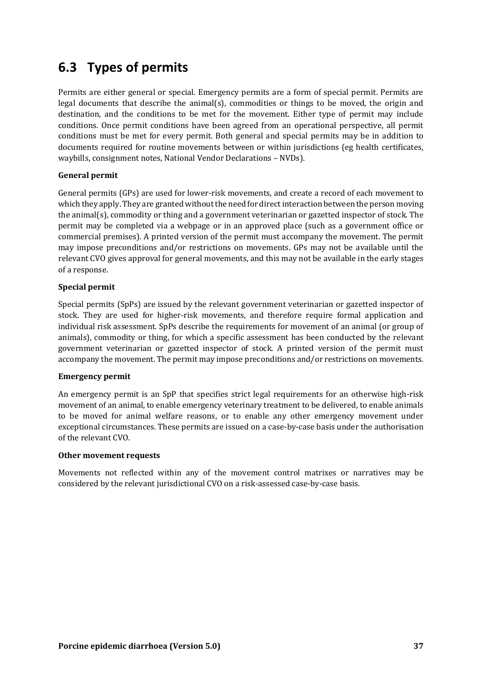## **6.3 Types of permits**

Permits are either general or special. Emergency permits are a form of special permit. Permits are legal documents that describe the animal(s), commodities or things to be moved, the origin and destination, and the conditions to be met for the movement. Either type of permit may include conditions. Once permit conditions have been agreed from an operational perspective, all permit conditions must be met for every permit. Both general and special permits may be in addition to documents required for routine movements between or within jurisdictions (eg health certificates, waybills, consignment notes, National Vendor Declarations – NVDs).

### **General permit**

General permits (GPs) are used for lower-risk movements, and create a record of each movement to which they apply. They are granted without the need for direct interaction between the person moving the animal(s), commodity or thing and a government veterinarian or gazetted inspector of stock. The permit may be completed via a webpage or in an approved place (such as a government office or commercial premises). A printed version of the permit must accompany the movement. The permit may impose preconditions and/or restrictions on movements. GPs may not be available until the relevant CVO gives approval for general movements, and this may not be available in the early stages of a response.

#### **Special permit**

Special permits (SpPs) are issued by the relevant government veterinarian or gazetted inspector of stock. They are used for higher-risk movements, and therefore require formal application and individual risk assessment. SpPs describe the requirements for movement of an animal (or group of animals), commodity or thing, for which a specific assessment has been conducted by the relevant government veterinarian or gazetted inspector of stock. A printed version of the permit must accompany the movement. The permit may impose preconditions and/or restrictions on movements.

#### **Emergency permit**

An emergency permit is an SpP that specifies strict legal requirements for an otherwise high-risk movement of an animal, to enable emergency veterinary treatment to be delivered, to enable animals to be moved for animal welfare reasons, or to enable any other emergency movement under exceptional circumstances. These permits are issued on a case-by-case basis under the authorisation of the relevant CVO.

#### **Other movement requests**

Movements not reflected within any of the movement control matrixes or narratives may be considered by the relevant jurisdictional CVO on a risk-assessed case-by-case basis.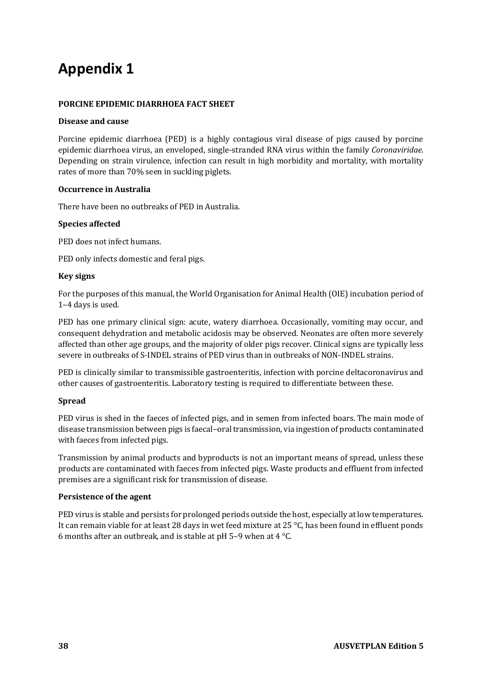# **Appendix 1**

#### **PORCINE EPIDEMIC DIARRHOEA FACT SHEET**

#### **Disease and cause**

Porcine epidemic diarrhoea (PED) is a highly contagious viral disease of pigs caused by porcine epidemic diarrhoea virus, an enveloped, single-stranded RNA virus within the family *Coronaviridae*. Depending on strain virulence, infection can result in high morbidity and mortality, with mortality rates of more than 70% seen in suckling piglets.

#### **Occurrence in Australia**

There have been no outbreaks of PED in Australia.

#### **Species affected**

PED does not infect humans.

PED only infects domestic and feral pigs.

#### **Key signs**

For the purposes of this manual, the World Organisation for Animal Health (OIE) incubation period of 1–4 days is used.

PED has one primary clinical sign: acute, watery diarrhoea. Occasionally, vomiting may occur, and consequent dehydration and metabolic acidosis may be observed. Neonates are often more severely affected than other age groups, and the majority of older pigs recover. Clinical signs are typically less severe in outbreaks of S-INDEL strains of PED virus than in outbreaks of NON-INDEL strains.

PED is clinically similar to transmissible gastroenteritis, infection with porcine deltacoronavirus and other causes of gastroenteritis. Laboratory testing is required to differentiate between these.

#### **Spread**

PED virus is shed in the faeces of infected pigs, and in semen from infected boars. The main mode of disease transmission between pigs is faecal–oral transmission, via ingestion of products contaminated with faeces from infected pigs.

Transmission by animal products and byproducts is not an important means of spread, unless these products are contaminated with faeces from infected pigs. Waste products and effluent from infected premises are a significant risk for transmission of disease.

#### **Persistence of the agent**

PED virus is stable and persists for prolonged periods outside the host, especially at low temperatures. It can remain viable for at least 28 days in wet feed mixture at 25 °C, has been found in effluent ponds 6 months after an outbreak, and is stable at pH 5–9 when at 4 °C.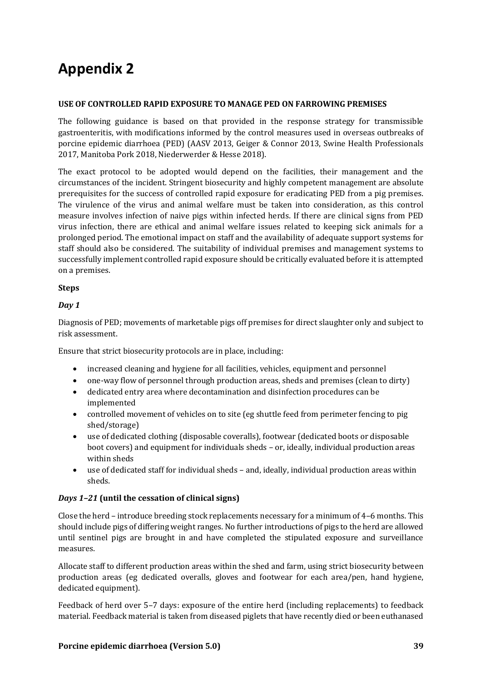# **Appendix 2**

#### **USE OF CONTROLLED RAPID EXPOSURE TO MANAGE PED ON FARROWING PREMISES**

The following guidance is based on that provided in the response strategy for transmissible gastroenteritis, with modifications informed by the control measures used in overseas outbreaks of porcine epidemic diarrhoea (PED) (AASV 2013, Geiger & Connor 2013, Swine Health Professionals 2017, Manitoba Pork 2018, Niederwerder & Hesse 2018).

The exact protocol to be adopted would depend on the facilities, their management and the circumstances of the incident. Stringent biosecurity and highly competent management are absolute prerequisites for the success of controlled rapid exposure for eradicating PED from a pig premises. The virulence of the virus and animal welfare must be taken into consideration, as this control measure involves infection of naive pigs within infected herds. If there are clinical signs from PED virus infection, there are ethical and animal welfare issues related to keeping sick animals for a prolonged period. The emotional impact on staff and the availability of adequate support systems for staff should also be considered. The suitability of individual premises and management systems to successfully implement controlled rapid exposure should be critically evaluated before it is attempted on a premises.

### **Steps**

### *Day 1*

Diagnosis of PED; movements of marketable pigs off premises for direct slaughter only and subject to risk assessment.

Ensure that strict biosecurity protocols are in place, including:

- increased cleaning and hygiene for all facilities, vehicles, equipment and personnel
- one-way flow of personnel through production areas, sheds and premises (clean to dirty)
- dedicated entry area where decontamination and disinfection procedures can be implemented
- controlled movement of vehicles on to site (eg shuttle feed from perimeter fencing to pig shed/storage)
- use of dedicated clothing (disposable coveralls), footwear (dedicated boots or disposable boot covers) and equipment for individuals sheds – or, ideally, individual production areas within sheds
- use of dedicated staff for individual sheds and, ideally, individual production areas within sheds.

### *Days 1–21* **(until the cessation of clinical signs)**

Close the herd – introduce breeding stock replacements necessary for a minimum of 4–6 months. This should include pigs of differing weight ranges. No further introductions of pigs to the herd are allowed until sentinel pigs are brought in and have completed the stipulated exposure and surveillance measures.

Allocate staff to different production areas within the shed and farm, using strict biosecurity between production areas (eg dedicated overalls, gloves and footwear for each area/pen, hand hygiene, dedicated equipment).

Feedback of herd over 5–7 days: exposure of the entire herd (including replacements) to feedback material. Feedback material is taken from diseased piglets that have recently died or been euthanased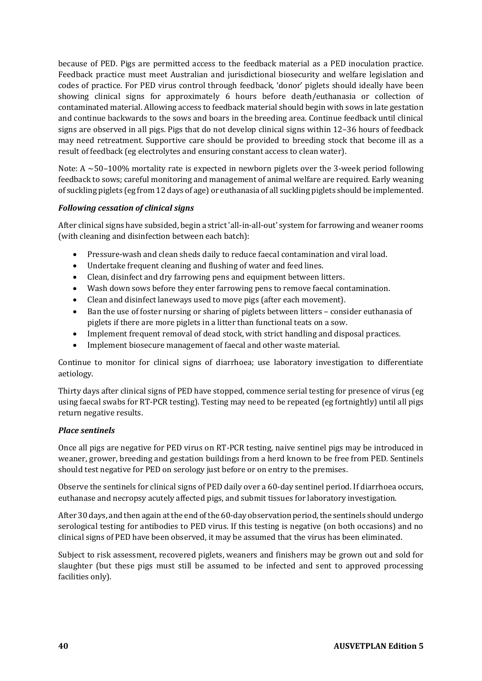because of PED. Pigs are permitted access to the feedback material as a PED inoculation practice. Feedback practice must meet Australian and jurisdictional biosecurity and welfare legislation and codes of practice. For PED virus control through feedback, 'donor' piglets should ideally have been showing clinical signs for approximately 6 hours before death/euthanasia or collection of contaminated material. Allowing access to feedback material should begin with sows in late gestation and continue backwards to the sows and boars in the breeding area. Continue feedback until clinical signs are observed in all pigs. Pigs that do not develop clinical signs within 12–36 hours of feedback may need retreatment. Supportive care should be provided to breeding stock that become ill as a result of feedback (eg electrolytes and ensuring constant access to clean water).

Note: A  $\sim$  50–100% mortality rate is expected in newborn piglets over the 3-week period following feedback to sows; careful monitoring and management of animal welfare are required. Early weaning of suckling piglets (eg from 12 days of age) or euthanasia of all suckling piglets should be implemented.

### *Following cessation of clinical signs*

After clinical signs have subsided, begin a strict 'all-in-all-out' system for farrowing and weaner rooms (with cleaning and disinfection between each batch):

- Pressure-wash and clean sheds daily to reduce faecal contamination and viral load.
- Undertake frequent cleaning and flushing of water and feed lines.
- Clean, disinfect and dry farrowing pens and equipment between litters.
- Wash down sows before they enter farrowing pens to remove faecal contamination.
- Clean and disinfect laneways used to move pigs (after each movement).
- Ban the use of foster nursing or sharing of piglets between litters consider euthanasia of piglets if there are more piglets in a litter than functional teats on a sow.
- Implement frequent removal of dead stock, with strict handling and disposal practices.
- Implement biosecure management of faecal and other waste material.

Continue to monitor for clinical signs of diarrhoea; use laboratory investigation to differentiate aetiology.

Thirty days after clinical signs of PED have stopped, commence serial testing for presence of virus (eg using faecal swabs for RT-PCR testing). Testing may need to be repeated (eg fortnightly) until all pigs return negative results.

#### *Place sentinels*

Once all pigs are negative for PED virus on RT-PCR testing, naive sentinel pigs may be introduced in weaner, grower, breeding and gestation buildings from a herd known to be free from PED. Sentinels should test negative for PED on serology just before or on entry to the premises.

Observe the sentinels for clinical signs of PED daily over a 60-day sentinel period. If diarrhoea occurs, euthanase and necropsy acutely affected pigs, and submit tissues for laboratory investigation.

After 30 days, and then again at the end of the 60-day observation period, the sentinels should undergo serological testing for antibodies to PED virus. If this testing is negative (on both occasions) and no clinical signs of PED have been observed, it may be assumed that the virus has been eliminated.

Subject to risk assessment, recovered piglets, weaners and finishers may be grown out and sold for slaughter (but these pigs must still be assumed to be infected and sent to approved processing facilities only).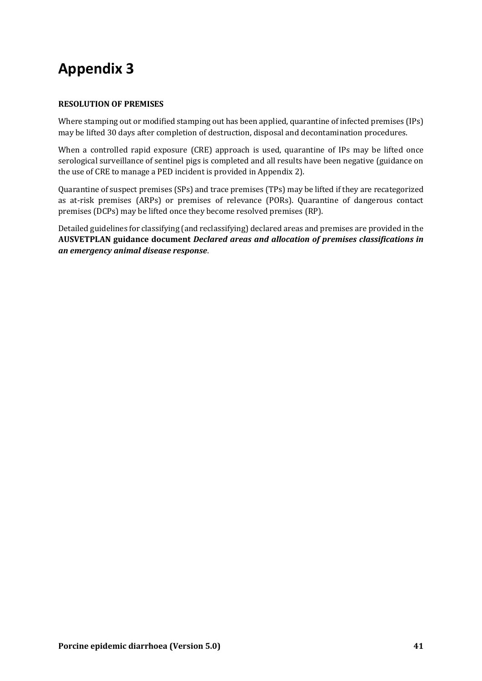# **Appendix 3**

### **RESOLUTION OF PREMISES**

Where stamping out or modified stamping out has been applied, quarantine of infected premises (IPs) may be lifted 30 days after completion of destruction, disposal and decontamination procedures.

When a controlled rapid exposure (CRE) approach is used, quarantine of IPs may be lifted once serological surveillance of sentinel pigs is completed and all results have been negative (guidance on the use of CRE to manage a PED incident is provided in Appendix 2).

Quarantine of suspect premises (SPs) and trace premises (TPs) may be lifted if they are recategorized as at-risk premises (ARPs) or premises of relevance (PORs). Quarantine of dangerous contact premises (DCPs) may be lifted once they become resolved premises (RP).

Detailed guidelines for classifying (and reclassifying) declared areas and premises are provided in the **AUSVETPLAN guidance document** *Declared areas and allocation of premises classifications in an emergency animal disease response*.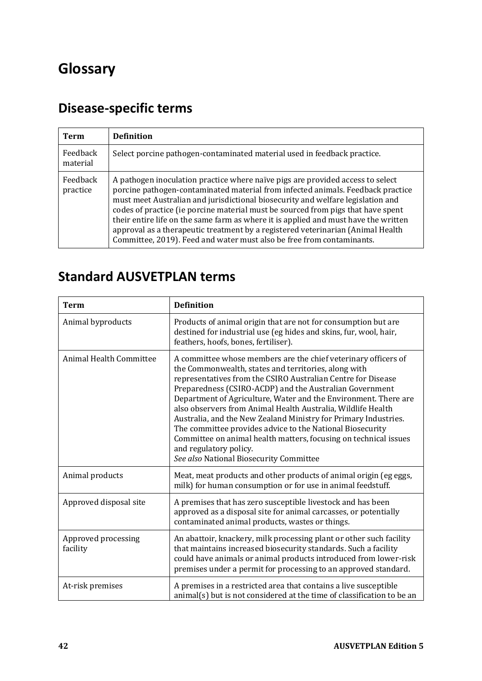# **Glossary**

# **Disease-specific terms**

| Term                 | <b>Definition</b>                                                                                                                                                                                                                                                                                                                                                                                                                                                                                                                                                                           |
|----------------------|---------------------------------------------------------------------------------------------------------------------------------------------------------------------------------------------------------------------------------------------------------------------------------------------------------------------------------------------------------------------------------------------------------------------------------------------------------------------------------------------------------------------------------------------------------------------------------------------|
| Feedback<br>material | Select porcine pathogen-contaminated material used in feedback practice.                                                                                                                                                                                                                                                                                                                                                                                                                                                                                                                    |
| Feedback<br>practice | A pathogen inoculation practice where naïve pigs are provided access to select<br>porcine pathogen-contaminated material from infected animals. Feedback practice<br>must meet Australian and jurisdictional biosecurity and welfare legislation and<br>codes of practice (ie porcine material must be sourced from pigs that have spent<br>their entire life on the same farm as where it is applied and must have the written<br>approval as a therapeutic treatment by a registered veterinarian (Animal Health<br>Committee, 2019). Feed and water must also be free from contaminants. |

# **Standard AUSVETPLAN terms**

| <b>Term</b>                     | <b>Definition</b>                                                                                                                                                                                                                                                                                                                                                                                                                                                                                                                                                                                                                                             |
|---------------------------------|---------------------------------------------------------------------------------------------------------------------------------------------------------------------------------------------------------------------------------------------------------------------------------------------------------------------------------------------------------------------------------------------------------------------------------------------------------------------------------------------------------------------------------------------------------------------------------------------------------------------------------------------------------------|
| Animal byproducts               | Products of animal origin that are not for consumption but are<br>destined for industrial use (eg hides and skins, fur, wool, hair,<br>feathers, hoofs, bones, fertiliser).                                                                                                                                                                                                                                                                                                                                                                                                                                                                                   |
| Animal Health Committee         | A committee whose members are the chief veterinary officers of<br>the Commonwealth, states and territories, along with<br>representatives from the CSIRO Australian Centre for Disease<br>Preparedness (CSIRO-ACDP) and the Australian Government<br>Department of Agriculture, Water and the Environment. There are<br>also observers from Animal Health Australia, Wildlife Health<br>Australia, and the New Zealand Ministry for Primary Industries.<br>The committee provides advice to the National Biosecurity<br>Committee on animal health matters, focusing on technical issues<br>and regulatory policy.<br>See also National Biosecurity Committee |
| Animal products                 | Meat, meat products and other products of animal origin (eg eggs,<br>milk) for human consumption or for use in animal feedstuff.                                                                                                                                                                                                                                                                                                                                                                                                                                                                                                                              |
| Approved disposal site          | A premises that has zero susceptible livestock and has been<br>approved as a disposal site for animal carcasses, or potentially<br>contaminated animal products, wastes or things.                                                                                                                                                                                                                                                                                                                                                                                                                                                                            |
| Approved processing<br>facility | An abattoir, knackery, milk processing plant or other such facility<br>that maintains increased biosecurity standards. Such a facility<br>could have animals or animal products introduced from lower-risk<br>premises under a permit for processing to an approved standard.                                                                                                                                                                                                                                                                                                                                                                                 |
| At-risk premises                | A premises in a restricted area that contains a live susceptible<br>animal(s) but is not considered at the time of classification to be an                                                                                                                                                                                                                                                                                                                                                                                                                                                                                                                    |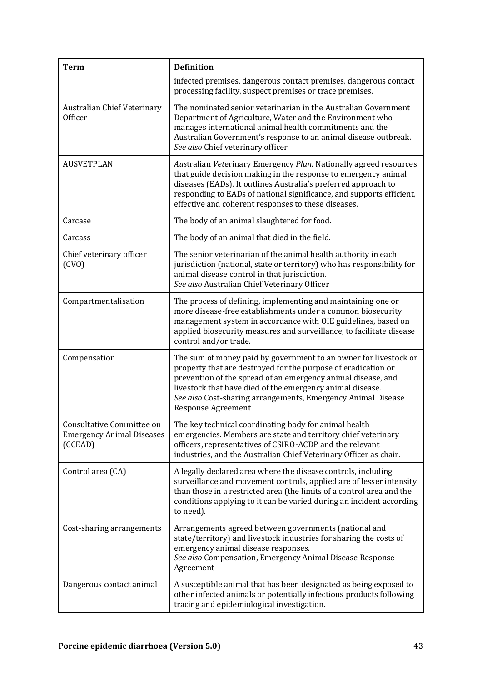| <b>Term</b>                                                              | <b>Definition</b>                                                                                                                                                                                                                                                                                                                                           |
|--------------------------------------------------------------------------|-------------------------------------------------------------------------------------------------------------------------------------------------------------------------------------------------------------------------------------------------------------------------------------------------------------------------------------------------------------|
|                                                                          | infected premises, dangerous contact premises, dangerous contact<br>processing facility, suspect premises or trace premises.                                                                                                                                                                                                                                |
| Australian Chief Veterinary<br>Officer                                   | The nominated senior veterinarian in the Australian Government<br>Department of Agriculture, Water and the Environment who<br>manages international animal health commitments and the<br>Australian Government's response to an animal disease outbreak.<br>See also Chief veterinary officer                                                               |
| <b>AUSVETPLAN</b>                                                        | Australian Veterinary Emergency Plan. Nationally agreed resources<br>that guide decision making in the response to emergency animal<br>diseases (EADs). It outlines Australia's preferred approach to<br>responding to EADs of national significance, and supports efficient,<br>effective and coherent responses to these diseases.                        |
| Carcase                                                                  | The body of an animal slaughtered for food.                                                                                                                                                                                                                                                                                                                 |
| Carcass                                                                  | The body of an animal that died in the field.                                                                                                                                                                                                                                                                                                               |
| Chief veterinary officer<br>(CVO)                                        | The senior veterinarian of the animal health authority in each<br>jurisdiction (national, state or territory) who has responsibility for<br>animal disease control in that jurisdiction.<br>See also Australian Chief Veterinary Officer                                                                                                                    |
| Compartmentalisation                                                     | The process of defining, implementing and maintaining one or<br>more disease-free establishments under a common biosecurity<br>management system in accordance with OIE guidelines, based on<br>applied biosecurity measures and surveillance, to facilitate disease<br>control and/or trade.                                                               |
| Compensation                                                             | The sum of money paid by government to an owner for livestock or<br>property that are destroyed for the purpose of eradication or<br>prevention of the spread of an emergency animal disease, and<br>livestock that have died of the emergency animal disease.<br>See also Cost-sharing arrangements, Emergency Animal Disease<br><b>Response Agreement</b> |
| Consultative Committee on<br><b>Emergency Animal Diseases</b><br>(CCEAD) | The key technical coordinating body for animal health<br>emergencies. Members are state and territory chief veterinary<br>officers, representatives of CSIRO-ACDP and the relevant<br>industries, and the Australian Chief Veterinary Officer as chair.                                                                                                     |
| Control area (CA)                                                        | A legally declared area where the disease controls, including<br>surveillance and movement controls, applied are of lesser intensity<br>than those in a restricted area (the limits of a control area and the<br>conditions applying to it can be varied during an incident according<br>to need).                                                          |
| Cost-sharing arrangements                                                | Arrangements agreed between governments (national and<br>state/territory) and livestock industries for sharing the costs of<br>emergency animal disease responses.<br>See also Compensation, Emergency Animal Disease Response<br>Agreement                                                                                                                 |
| Dangerous contact animal                                                 | A susceptible animal that has been designated as being exposed to<br>other infected animals or potentially infectious products following<br>tracing and epidemiological investigation.                                                                                                                                                                      |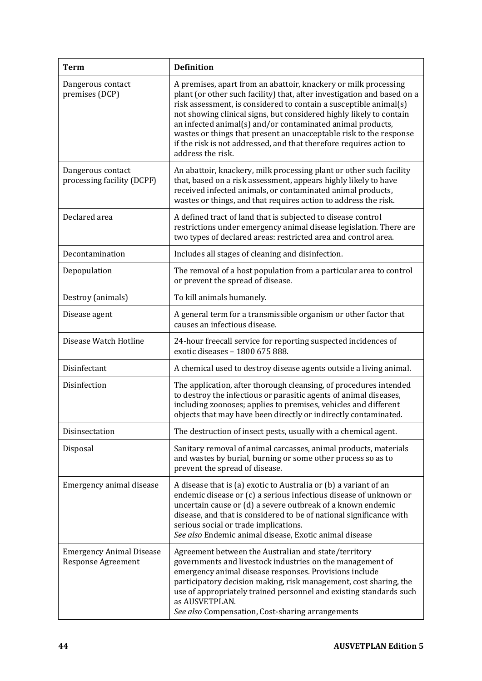| <b>Term</b>                                                  | <b>Definition</b>                                                                                                                                                                                                                                                                                                                                                                                                                                                                                                      |
|--------------------------------------------------------------|------------------------------------------------------------------------------------------------------------------------------------------------------------------------------------------------------------------------------------------------------------------------------------------------------------------------------------------------------------------------------------------------------------------------------------------------------------------------------------------------------------------------|
| Dangerous contact<br>premises (DCP)                          | A premises, apart from an abattoir, knackery or milk processing<br>plant (or other such facility) that, after investigation and based on a<br>risk assessment, is considered to contain a susceptible animal(s)<br>not showing clinical signs, but considered highly likely to contain<br>an infected animal(s) and/or contaminated animal products,<br>wastes or things that present an unacceptable risk to the response<br>if the risk is not addressed, and that therefore requires action to<br>address the risk. |
| Dangerous contact<br>processing facility (DCPF)              | An abattoir, knackery, milk processing plant or other such facility<br>that, based on a risk assessment, appears highly likely to have<br>received infected animals, or contaminated animal products,<br>wastes or things, and that requires action to address the risk.                                                                                                                                                                                                                                               |
| Declared area                                                | A defined tract of land that is subjected to disease control<br>restrictions under emergency animal disease legislation. There are<br>two types of declared areas: restricted area and control area.                                                                                                                                                                                                                                                                                                                   |
| Decontamination                                              | Includes all stages of cleaning and disinfection.                                                                                                                                                                                                                                                                                                                                                                                                                                                                      |
| Depopulation                                                 | The removal of a host population from a particular area to control<br>or prevent the spread of disease.                                                                                                                                                                                                                                                                                                                                                                                                                |
| Destroy (animals)                                            | To kill animals humanely.                                                                                                                                                                                                                                                                                                                                                                                                                                                                                              |
| Disease agent                                                | A general term for a transmissible organism or other factor that<br>causes an infectious disease.                                                                                                                                                                                                                                                                                                                                                                                                                      |
| Disease Watch Hotline                                        | 24-hour freecall service for reporting suspected incidences of<br>exotic diseases - 1800 675 888.                                                                                                                                                                                                                                                                                                                                                                                                                      |
| Disinfectant                                                 | A chemical used to destroy disease agents outside a living animal.                                                                                                                                                                                                                                                                                                                                                                                                                                                     |
| Disinfection                                                 | The application, after thorough cleansing, of procedures intended<br>to destroy the infectious or parasitic agents of animal diseases,<br>including zoonoses; applies to premises, vehicles and different<br>objects that may have been directly or indirectly contaminated.                                                                                                                                                                                                                                           |
| Disinsectation                                               | The destruction of insect pests, usually with a chemical agent.                                                                                                                                                                                                                                                                                                                                                                                                                                                        |
| Disposal                                                     | Sanitary removal of animal carcasses, animal products, materials<br>and wastes by burial, burning or some other process so as to<br>prevent the spread of disease.                                                                                                                                                                                                                                                                                                                                                     |
| Emergency animal disease                                     | A disease that is (a) exotic to Australia or (b) a variant of an<br>endemic disease or (c) a serious infectious disease of unknown or<br>uncertain cause or (d) a severe outbreak of a known endemic<br>disease, and that is considered to be of national significance with<br>serious social or trade implications.<br>See also Endemic animal disease, Exotic animal disease                                                                                                                                         |
| <b>Emergency Animal Disease</b><br><b>Response Agreement</b> | Agreement between the Australian and state/territory<br>governments and livestock industries on the management of<br>emergency animal disease responses. Provisions include<br>participatory decision making, risk management, cost sharing, the<br>use of appropriately trained personnel and existing standards such<br>as AUSVETPLAN.<br>See also Compensation, Cost-sharing arrangements                                                                                                                           |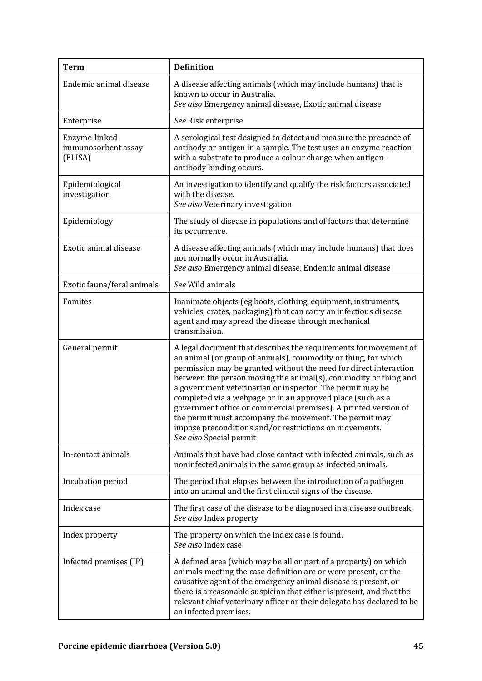| <b>Term</b>                                     | <b>Definition</b>                                                                                                                                                                                                                                                                                                                                                                                                                                                                                                                                                                                                       |  |
|-------------------------------------------------|-------------------------------------------------------------------------------------------------------------------------------------------------------------------------------------------------------------------------------------------------------------------------------------------------------------------------------------------------------------------------------------------------------------------------------------------------------------------------------------------------------------------------------------------------------------------------------------------------------------------------|--|
| Endemic animal disease                          | A disease affecting animals (which may include humans) that is<br>known to occur in Australia.<br>See also Emergency animal disease, Exotic animal disease                                                                                                                                                                                                                                                                                                                                                                                                                                                              |  |
| Enterprise                                      | See Risk enterprise                                                                                                                                                                                                                                                                                                                                                                                                                                                                                                                                                                                                     |  |
| Enzyme-linked<br>immunosorbent assay<br>(ELISA) | A serological test designed to detect and measure the presence of<br>antibody or antigen in a sample. The test uses an enzyme reaction<br>with a substrate to produce a colour change when antigen-<br>antibody binding occurs.                                                                                                                                                                                                                                                                                                                                                                                         |  |
| Epidemiological<br>investigation                | An investigation to identify and qualify the risk factors associated<br>with the disease.<br>See also Veterinary investigation                                                                                                                                                                                                                                                                                                                                                                                                                                                                                          |  |
| Epidemiology                                    | The study of disease in populations and of factors that determine<br>its occurrence.                                                                                                                                                                                                                                                                                                                                                                                                                                                                                                                                    |  |
| Exotic animal disease                           | A disease affecting animals (which may include humans) that does<br>not normally occur in Australia.<br>See also Emergency animal disease, Endemic animal disease                                                                                                                                                                                                                                                                                                                                                                                                                                                       |  |
| Exotic fauna/feral animals                      | See Wild animals                                                                                                                                                                                                                                                                                                                                                                                                                                                                                                                                                                                                        |  |
| Fomites                                         | Inanimate objects (eg boots, clothing, equipment, instruments,<br>vehicles, crates, packaging) that can carry an infectious disease<br>agent and may spread the disease through mechanical<br>transmission.                                                                                                                                                                                                                                                                                                                                                                                                             |  |
| General permit                                  | A legal document that describes the requirements for movement of<br>an animal (or group of animals), commodity or thing, for which<br>permission may be granted without the need for direct interaction<br>between the person moving the animal(s), commodity or thing and<br>a government veterinarian or inspector. The permit may be<br>completed via a webpage or in an approved place (such as a<br>government office or commercial premises). A printed version of<br>the permit must accompany the movement. The permit may<br>impose preconditions and/or restrictions on movements.<br>See also Special permit |  |
| In-contact animals                              | Animals that have had close contact with infected animals, such as<br>noninfected animals in the same group as infected animals.                                                                                                                                                                                                                                                                                                                                                                                                                                                                                        |  |
| Incubation period                               | The period that elapses between the introduction of a pathogen<br>into an animal and the first clinical signs of the disease.                                                                                                                                                                                                                                                                                                                                                                                                                                                                                           |  |
| Index case                                      | The first case of the disease to be diagnosed in a disease outbreak.<br>See also Index property                                                                                                                                                                                                                                                                                                                                                                                                                                                                                                                         |  |
| Index property                                  | The property on which the index case is found.<br>See also Index case                                                                                                                                                                                                                                                                                                                                                                                                                                                                                                                                                   |  |
| Infected premises (IP)                          | A defined area (which may be all or part of a property) on which<br>animals meeting the case definition are or were present, or the<br>causative agent of the emergency animal disease is present, or<br>there is a reasonable suspicion that either is present, and that the<br>relevant chief veterinary officer or their delegate has declared to be<br>an infected premises.                                                                                                                                                                                                                                        |  |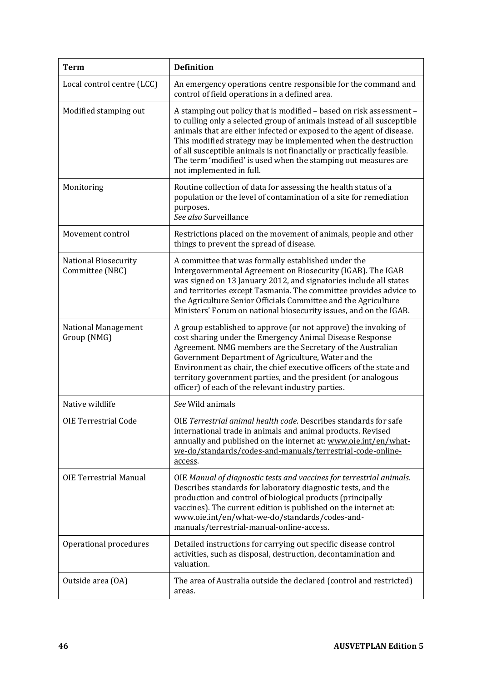| <b>Term</b>                             | <b>Definition</b>                                                                                                                                                                                                                                                                                                                                                                                                                                               |
|-----------------------------------------|-----------------------------------------------------------------------------------------------------------------------------------------------------------------------------------------------------------------------------------------------------------------------------------------------------------------------------------------------------------------------------------------------------------------------------------------------------------------|
| Local control centre (LCC)              | An emergency operations centre responsible for the command and<br>control of field operations in a defined area.                                                                                                                                                                                                                                                                                                                                                |
| Modified stamping out                   | A stamping out policy that is modified - based on risk assessment -<br>to culling only a selected group of animals instead of all susceptible<br>animals that are either infected or exposed to the agent of disease.<br>This modified strategy may be implemented when the destruction<br>of all susceptible animals is not financially or practically feasible.<br>The term 'modified' is used when the stamping out measures are<br>not implemented in full. |
| Monitoring                              | Routine collection of data for assessing the health status of a<br>population or the level of contamination of a site for remediation<br>purposes.<br>See also Surveillance                                                                                                                                                                                                                                                                                     |
| Movement control                        | Restrictions placed on the movement of animals, people and other<br>things to prevent the spread of disease.                                                                                                                                                                                                                                                                                                                                                    |
| National Biosecurity<br>Committee (NBC) | A committee that was formally established under the<br>Intergovernmental Agreement on Biosecurity (IGAB). The IGAB<br>was signed on 13 January 2012, and signatories include all states<br>and territories except Tasmania. The committee provides advice to<br>the Agriculture Senior Officials Committee and the Agriculture<br>Ministers' Forum on national biosecurity issues, and on the IGAB.                                                             |
| National Management<br>Group (NMG)      | A group established to approve (or not approve) the invoking of<br>cost sharing under the Emergency Animal Disease Response<br>Agreement. NMG members are the Secretary of the Australian<br>Government Department of Agriculture, Water and the<br>Environment as chair, the chief executive officers of the state and<br>territory government parties, and the president (or analogous<br>officer) of each of the relevant industry parties.                  |
| Native wildlife                         | See Wild animals                                                                                                                                                                                                                                                                                                                                                                                                                                                |
| <b>OIE Terrestrial Code</b>             | OIE Terrestrial animal health code. Describes standards for safe<br>international trade in animals and animal products. Revised<br>annually and published on the internet at: www.oie.int/en/what-<br>we-do/standards/codes-and-manuals/terrestrial-code-online-<br>access.                                                                                                                                                                                     |
| <b>OIE Terrestrial Manual</b>           | OIE Manual of diagnostic tests and vaccines for terrestrial animals.<br>Describes standards for laboratory diagnostic tests, and the<br>production and control of biological products (principally<br>vaccines). The current edition is published on the internet at:<br>www.oie.int/en/what-we-do/standards/codes-and-<br>manuals/terrestrial-manual-online-access.                                                                                            |
| Operational procedures                  | Detailed instructions for carrying out specific disease control<br>activities, such as disposal, destruction, decontamination and<br>valuation.                                                                                                                                                                                                                                                                                                                 |
| Outside area (OA)                       | The area of Australia outside the declared (control and restricted)<br>areas.                                                                                                                                                                                                                                                                                                                                                                                   |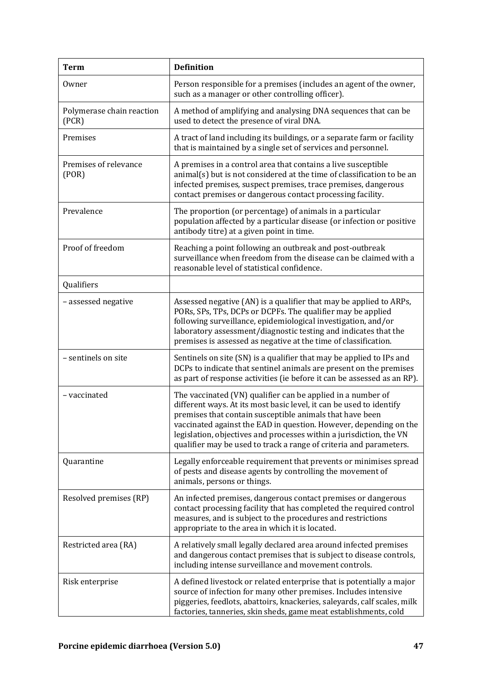| <b>Term</b>                        | <b>Definition</b>                                                                                                                                                                                                                                                                                                                                                                                                |
|------------------------------------|------------------------------------------------------------------------------------------------------------------------------------------------------------------------------------------------------------------------------------------------------------------------------------------------------------------------------------------------------------------------------------------------------------------|
| Owner                              | Person responsible for a premises (includes an agent of the owner,<br>such as a manager or other controlling officer).                                                                                                                                                                                                                                                                                           |
| Polymerase chain reaction<br>(PCR) | A method of amplifying and analysing DNA sequences that can be<br>used to detect the presence of viral DNA.                                                                                                                                                                                                                                                                                                      |
| Premises                           | A tract of land including its buildings, or a separate farm or facility<br>that is maintained by a single set of services and personnel.                                                                                                                                                                                                                                                                         |
| Premises of relevance<br>( POR)    | A premises in a control area that contains a live susceptible<br>animal(s) but is not considered at the time of classification to be an<br>infected premises, suspect premises, trace premises, dangerous<br>contact premises or dangerous contact processing facility.                                                                                                                                          |
| Prevalence                         | The proportion (or percentage) of animals in a particular<br>population affected by a particular disease (or infection or positive<br>antibody titre) at a given point in time.                                                                                                                                                                                                                                  |
| Proof of freedom                   | Reaching a point following an outbreak and post-outbreak<br>surveillance when freedom from the disease can be claimed with a<br>reasonable level of statistical confidence.                                                                                                                                                                                                                                      |
| Qualifiers                         |                                                                                                                                                                                                                                                                                                                                                                                                                  |
| - assessed negative                | Assessed negative (AN) is a qualifier that may be applied to ARPs,<br>PORs, SPs, TPs, DCPs or DCPFs. The qualifier may be applied<br>following surveillance, epidemiological investigation, and/or<br>laboratory assessment/diagnostic testing and indicates that the<br>premises is assessed as negative at the time of classification.                                                                         |
| - sentinels on site                | Sentinels on site (SN) is a qualifier that may be applied to IPs and<br>DCPs to indicate that sentinel animals are present on the premises<br>as part of response activities (ie before it can be assessed as an RP).                                                                                                                                                                                            |
| - vaccinated                       | The vaccinated (VN) qualifier can be applied in a number of<br>different ways. At its most basic level, it can be used to identify<br>premises that contain susceptible animals that have been<br>vaccinated against the EAD in question. However, depending on the<br>legislation, objectives and processes within a jurisdiction, the VN<br>qualifier may be used to track a range of criteria and parameters. |
| Quarantine                         | Legally enforceable requirement that prevents or minimises spread<br>of pests and disease agents by controlling the movement of<br>animals, persons or things.                                                                                                                                                                                                                                                   |
| Resolved premises (RP)             | An infected premises, dangerous contact premises or dangerous<br>contact processing facility that has completed the required control<br>measures, and is subject to the procedures and restrictions<br>appropriate to the area in which it is located.                                                                                                                                                           |
| Restricted area (RA)               | A relatively small legally declared area around infected premises<br>and dangerous contact premises that is subject to disease controls,<br>including intense surveillance and movement controls.                                                                                                                                                                                                                |
| Risk enterprise                    | A defined livestock or related enterprise that is potentially a major<br>source of infection for many other premises. Includes intensive<br>piggeries, feedlots, abattoirs, knackeries, saleyards, calf scales, milk<br>factories, tanneries, skin sheds, game meat establishments, cold                                                                                                                         |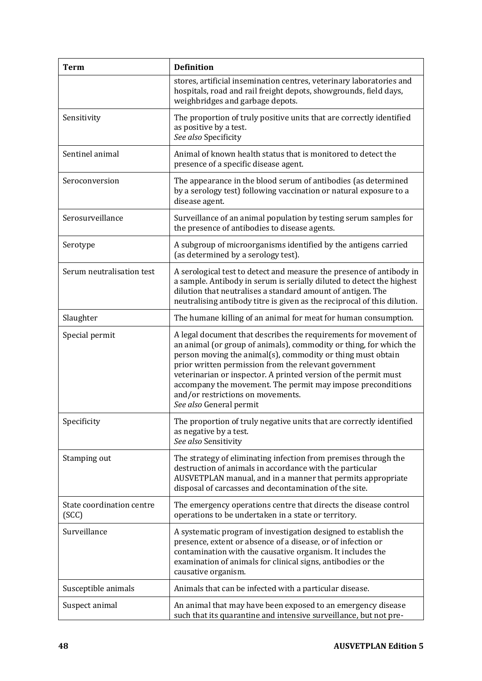| <b>Term</b>                        | <b>Definition</b>                                                                                                                                                                                                                                                                                                                                                                                                                                                |
|------------------------------------|------------------------------------------------------------------------------------------------------------------------------------------------------------------------------------------------------------------------------------------------------------------------------------------------------------------------------------------------------------------------------------------------------------------------------------------------------------------|
|                                    | stores, artificial insemination centres, veterinary laboratories and<br>hospitals, road and rail freight depots, showgrounds, field days,<br>weighbridges and garbage depots.                                                                                                                                                                                                                                                                                    |
| Sensitivity                        | The proportion of truly positive units that are correctly identified<br>as positive by a test.<br>See also Specificity                                                                                                                                                                                                                                                                                                                                           |
| Sentinel animal                    | Animal of known health status that is monitored to detect the<br>presence of a specific disease agent.                                                                                                                                                                                                                                                                                                                                                           |
| Seroconversion                     | The appearance in the blood serum of antibodies (as determined<br>by a serology test) following vaccination or natural exposure to a<br>disease agent.                                                                                                                                                                                                                                                                                                           |
| Serosurveillance                   | Surveillance of an animal population by testing serum samples for<br>the presence of antibodies to disease agents.                                                                                                                                                                                                                                                                                                                                               |
| Serotype                           | A subgroup of microorganisms identified by the antigens carried<br>(as determined by a serology test).                                                                                                                                                                                                                                                                                                                                                           |
| Serum neutralisation test          | A serological test to detect and measure the presence of antibody in<br>a sample. Antibody in serum is serially diluted to detect the highest<br>dilution that neutralises a standard amount of antigen. The<br>neutralising antibody titre is given as the reciprocal of this dilution.                                                                                                                                                                         |
| Slaughter                          | The humane killing of an animal for meat for human consumption.                                                                                                                                                                                                                                                                                                                                                                                                  |
| Special permit                     | A legal document that describes the requirements for movement of<br>an animal (or group of animals), commodity or thing, for which the<br>person moving the animal(s), commodity or thing must obtain<br>prior written permission from the relevant government<br>veterinarian or inspector. A printed version of the permit must<br>accompany the movement. The permit may impose preconditions<br>and/or restrictions on movements.<br>See also General permit |
| Specificity                        | The proportion of truly negative units that are correctly identified<br>as negative by a test.<br>See also Sensitivity                                                                                                                                                                                                                                                                                                                                           |
| Stamping out                       | The strategy of eliminating infection from premises through the<br>destruction of animals in accordance with the particular<br>AUSVETPLAN manual, and in a manner that permits appropriate<br>disposal of carcasses and decontamination of the site.                                                                                                                                                                                                             |
| State coordination centre<br>(SCC) | The emergency operations centre that directs the disease control<br>operations to be undertaken in a state or territory.                                                                                                                                                                                                                                                                                                                                         |
| Surveillance                       | A systematic program of investigation designed to establish the<br>presence, extent or absence of a disease, or of infection or<br>contamination with the causative organism. It includes the<br>examination of animals for clinical signs, antibodies or the<br>causative organism.                                                                                                                                                                             |
| Susceptible animals                | Animals that can be infected with a particular disease.                                                                                                                                                                                                                                                                                                                                                                                                          |
| Suspect animal                     | An animal that may have been exposed to an emergency disease<br>such that its quarantine and intensive surveillance, but not pre-                                                                                                                                                                                                                                                                                                                                |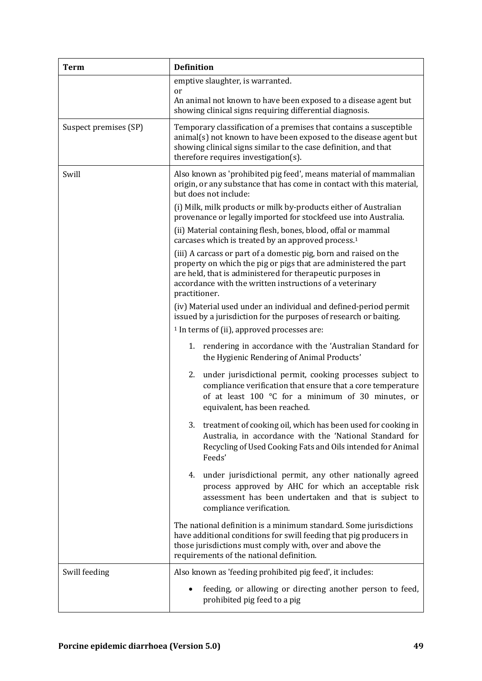| <b>Term</b>           | <b>Definition</b>                                                                                                                                                                                                                                                                |
|-----------------------|----------------------------------------------------------------------------------------------------------------------------------------------------------------------------------------------------------------------------------------------------------------------------------|
|                       | emptive slaughter, is warranted.<br>or                                                                                                                                                                                                                                           |
|                       | An animal not known to have been exposed to a disease agent but<br>showing clinical signs requiring differential diagnosis.                                                                                                                                                      |
| Suspect premises (SP) | Temporary classification of a premises that contains a susceptible<br>animal(s) not known to have been exposed to the disease agent but<br>showing clinical signs similar to the case definition, and that<br>therefore requires investigation(s).                               |
| Swill                 | Also known as 'prohibited pig feed', means material of mammalian<br>origin, or any substance that has come in contact with this material,<br>but does not include:                                                                                                               |
|                       | (i) Milk, milk products or milk by-products either of Australian<br>provenance or legally imported for stockfeed use into Australia.                                                                                                                                             |
|                       | (ii) Material containing flesh, bones, blood, offal or mammal<br>carcases which is treated by an approved process. <sup>1</sup>                                                                                                                                                  |
|                       | (iii) A carcass or part of a domestic pig, born and raised on the<br>property on which the pig or pigs that are administered the part<br>are held, that is administered for therapeutic purposes in<br>accordance with the written instructions of a veterinary<br>practitioner. |
|                       | (iv) Material used under an individual and defined-period permit<br>issued by a jurisdiction for the purposes of research or baiting.<br><sup>1</sup> In terms of (ii), approved processes are:                                                                                  |
|                       | 1. rendering in accordance with the 'Australian Standard for<br>the Hygienic Rendering of Animal Products'                                                                                                                                                                       |
|                       | 2.<br>under jurisdictional permit, cooking processes subject to<br>compliance verification that ensure that a core temperature<br>of at least 100 °C for a minimum of 30 minutes, or<br>equivalent, has been reached.                                                            |
|                       | 3. treatment of cooking oil, which has been used for cooking in<br>Australia, in accordance with the 'National Standard for<br>Recycling of Used Cooking Fats and Oils intended for Animal<br>Feeds'                                                                             |
|                       | under jurisdictional permit, any other nationally agreed<br>4.<br>process approved by AHC for which an acceptable risk<br>assessment has been undertaken and that is subject to<br>compliance verification.                                                                      |
|                       | The national definition is a minimum standard. Some jurisdictions<br>have additional conditions for swill feeding that pig producers in<br>those jurisdictions must comply with, over and above the<br>requirements of the national definition.                                  |
| Swill feeding         | Also known as 'feeding prohibited pig feed', it includes:                                                                                                                                                                                                                        |
|                       | feeding, or allowing or directing another person to feed,<br>prohibited pig feed to a pig                                                                                                                                                                                        |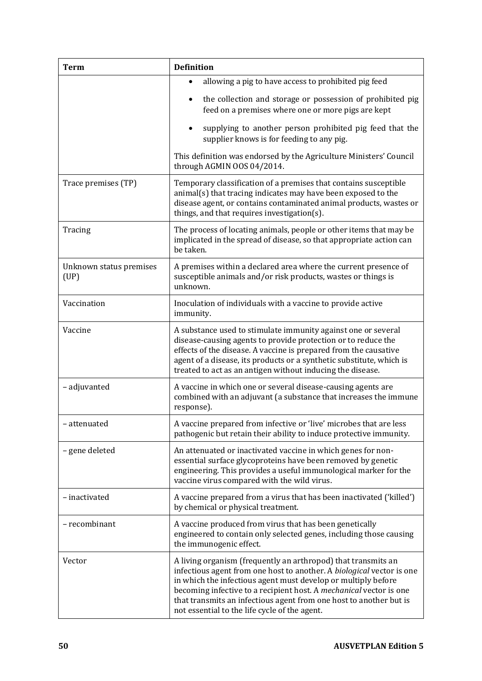| <b>Term</b>                     | <b>Definition</b>                                                                                                                                                                                                                                                                                                                                                                                    |
|---------------------------------|------------------------------------------------------------------------------------------------------------------------------------------------------------------------------------------------------------------------------------------------------------------------------------------------------------------------------------------------------------------------------------------------------|
|                                 | allowing a pig to have access to prohibited pig feed<br>$\bullet$<br>the collection and storage or possession of prohibited pig<br>feed on a premises where one or more pigs are kept                                                                                                                                                                                                                |
|                                 | supplying to another person prohibited pig feed that the<br>supplier knows is for feeding to any pig.                                                                                                                                                                                                                                                                                                |
|                                 | This definition was endorsed by the Agriculture Ministers' Council<br>through AGMIN OOS 04/2014.                                                                                                                                                                                                                                                                                                     |
| Trace premises (TP)             | Temporary classification of a premises that contains susceptible<br>animal(s) that tracing indicates may have been exposed to the<br>disease agent, or contains contaminated animal products, wastes or<br>things, and that requires investigation(s).                                                                                                                                               |
| Tracing                         | The process of locating animals, people or other items that may be<br>implicated in the spread of disease, so that appropriate action can<br>be taken.                                                                                                                                                                                                                                               |
| Unknown status premises<br>(UP) | A premises within a declared area where the current presence of<br>susceptible animals and/or risk products, wastes or things is<br>unknown.                                                                                                                                                                                                                                                         |
| Vaccination                     | Inoculation of individuals with a vaccine to provide active<br>immunity.                                                                                                                                                                                                                                                                                                                             |
| Vaccine                         | A substance used to stimulate immunity against one or several<br>disease-causing agents to provide protection or to reduce the<br>effects of the disease. A vaccine is prepared from the causative<br>agent of a disease, its products or a synthetic substitute, which is<br>treated to act as an antigen without inducing the disease.                                                             |
| - adjuvanted                    | A vaccine in which one or several disease-causing agents are<br>combined with an adjuvant (a substance that increases the immune<br>response).                                                                                                                                                                                                                                                       |
| - attenuated                    | A vaccine prepared from infective or 'live' microbes that are less<br>pathogenic but retain their ability to induce protective immunity.                                                                                                                                                                                                                                                             |
| - gene deleted                  | An attenuated or inactivated vaccine in which genes for non-<br>essential surface glycoproteins have been removed by genetic<br>engineering. This provides a useful immunological marker for the<br>vaccine virus compared with the wild virus.                                                                                                                                                      |
| - inactivated                   | A vaccine prepared from a virus that has been inactivated ('killed')<br>by chemical or physical treatment.                                                                                                                                                                                                                                                                                           |
| - recombinant                   | A vaccine produced from virus that has been genetically<br>engineered to contain only selected genes, including those causing<br>the immunogenic effect.                                                                                                                                                                                                                                             |
| Vector                          | A living organism (frequently an arthropod) that transmits an<br>infectious agent from one host to another. A biological vector is one<br>in which the infectious agent must develop or multiply before<br>becoming infective to a recipient host. A mechanical vector is one<br>that transmits an infectious agent from one host to another but is<br>not essential to the life cycle of the agent. |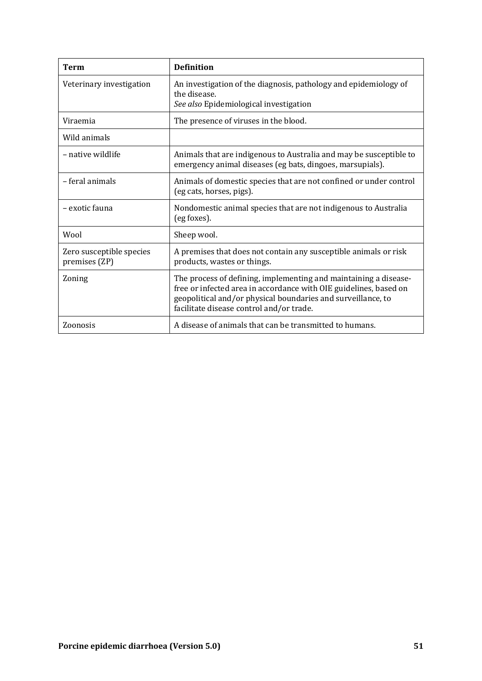| Term                                      | <b>Definition</b>                                                                                                                                                                                                                                 |
|-------------------------------------------|---------------------------------------------------------------------------------------------------------------------------------------------------------------------------------------------------------------------------------------------------|
| Veterinary investigation                  | An investigation of the diagnosis, pathology and epidemiology of<br>the disease.<br>See also Epidemiological investigation                                                                                                                        |
| Viraemia                                  | The presence of viruses in the blood.                                                                                                                                                                                                             |
| Wild animals                              |                                                                                                                                                                                                                                                   |
| – native wildlife                         | Animals that are indigenous to Australia and may be susceptible to<br>emergency animal diseases (eg bats, dingoes, marsupials).                                                                                                                   |
| - feral animals                           | Animals of domestic species that are not confined or under control<br>(eg cats, horses, pigs).                                                                                                                                                    |
| - exotic fauna                            | Nondomestic animal species that are not indigenous to Australia<br>(eg foxes).                                                                                                                                                                    |
| Wool                                      | Sheep wool.                                                                                                                                                                                                                                       |
| Zero susceptible species<br>premises (ZP) | A premises that does not contain any susceptible animals or risk<br>products, wastes or things.                                                                                                                                                   |
| Zoning                                    | The process of defining, implementing and maintaining a disease-<br>free or infected area in accordance with OIE guidelines, based on<br>geopolitical and/or physical boundaries and surveillance, to<br>facilitate disease control and/or trade. |
| Zoonosis                                  | A disease of animals that can be transmitted to humans.                                                                                                                                                                                           |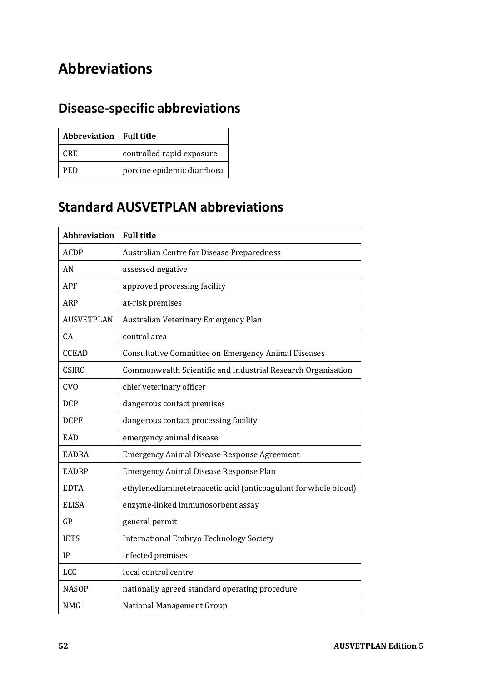# **Abbreviations**

# **Disease-specific abbreviations**

| Abbreviation   Full title |                            |
|---------------------------|----------------------------|
| CRE.                      | controlled rapid exposure  |
| PED                       | porcine epidemic diarrhoea |

## **Standard AUSVETPLAN abbreviations**

| <b>Abbreviation</b> | <b>Full title</b>                                               |
|---------------------|-----------------------------------------------------------------|
| <b>ACDP</b>         | Australian Centre for Disease Preparedness                      |
| AN                  | assessed negative                                               |
| <b>APF</b>          | approved processing facility                                    |
| ARP                 | at-risk premises                                                |
| <b>AUSVETPLAN</b>   | Australian Veterinary Emergency Plan                            |
| CA                  | control area                                                    |
| <b>CCEAD</b>        | Consultative Committee on Emergency Animal Diseases             |
| <b>CSIRO</b>        | Commonwealth Scientific and Industrial Research Organisation    |
| <b>CVO</b>          | chief veterinary officer                                        |
| <b>DCP</b>          | dangerous contact premises                                      |
| <b>DCPF</b>         | dangerous contact processing facility                           |
| EAD                 | emergency animal disease                                        |
| <b>EADRA</b>        | <b>Emergency Animal Disease Response Agreement</b>              |
| <b>EADRP</b>        | Emergency Animal Disease Response Plan                          |
| <b>EDTA</b>         | ethylenediaminetetraacetic acid (anticoagulant for whole blood) |
| <b>ELISA</b>        | enzyme-linked immunosorbent assay                               |
| GP                  | general permit                                                  |
| <b>IETS</b>         | <b>International Embryo Technology Society</b>                  |
| IP                  | infected premises                                               |
| <b>LCC</b>          | local control centre                                            |
| <b>NASOP</b>        | nationally agreed standard operating procedure                  |
| <b>NMG</b>          | <b>National Management Group</b>                                |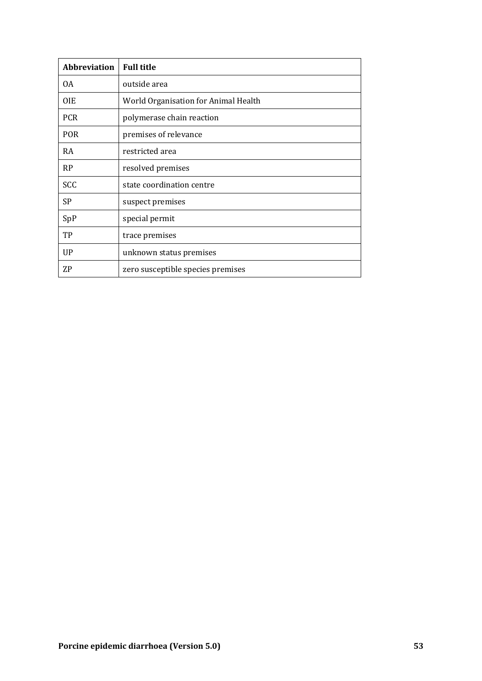| <b>Abbreviation</b> | <b>Full title</b>                    |
|---------------------|--------------------------------------|
| 0A                  | outside area                         |
| 0IE                 | World Organisation for Animal Health |
| <b>PCR</b>          | polymerase chain reaction            |
| <b>POR</b>          | premises of relevance                |
| RA                  | restricted area                      |
| <b>RP</b>           | resolved premises                    |
| SCC                 | state coordination centre            |
| <b>SP</b>           | suspect premises                     |
| SpP                 | special permit                       |
| TP                  | trace premises                       |
| UP                  | unknown status premises              |
| ZΡ                  | zero susceptible species premises    |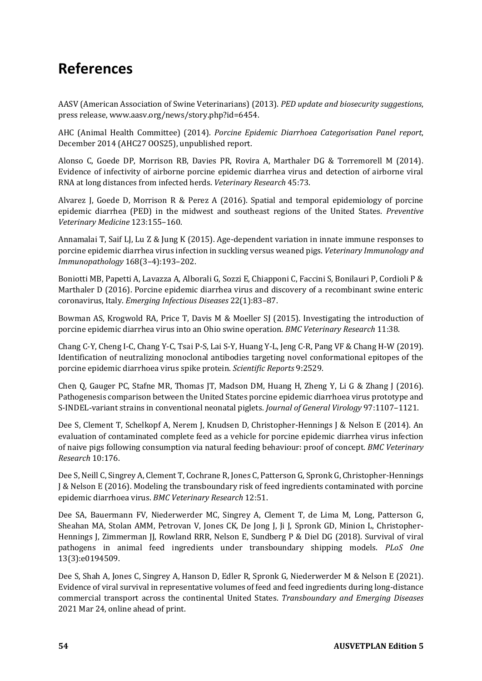# **References**

AASV (American Association of Swine Veterinarians) (2013). *PED update and biosecurity suggestions*, press release, www.aasv.org/news/story.php?id=6454.

AHC (Animal Health Committee) (2014). *Porcine Epidemic Diarrhoea Categorisation Panel report*, December 2014 (AHC27 OOS25), unpublished report.

Alonso C, Goede DP, Morrison RB, Davies PR, Rovira A, Marthaler DG & Torremorell M (2014). Evidence of infectivity of airborne porcine epidemic diarrhea virus and detection of airborne viral RNA at long distances from infected herds. *Veterinary Research* 45:73.

Alvarez J, Goede D, Morrison R & Perez A (2016). Spatial and temporal epidemiology of porcine epidemic diarrhea (PED) in the midwest and southeast regions of the United States. *Preventive Veterinary Medicine* 123:155–160.

Annamalai T, Saif LJ, Lu Z & Jung K (2015). Age-dependent variation in innate immune responses to porcine epidemic diarrhea virus infection in suckling versus weaned pigs. *Veterinary Immunology and Immunopathology* 168(3–4):193–202.

Boniotti MB, Papetti A, Lavazza A, Alborali G, Sozzi E, Chiapponi C, Faccini S, Bonilauri P, Cordioli P & Marthaler D (2016). Porcine epidemic diarrhea virus and discovery of a recombinant swine enteric coronavirus, Italy. *Emerging Infectious Diseases* 22(1):83–87.

Bowman AS, Krogwold RA, Price T, Davis M & Moeller SJ (2015). Investigating the introduction of porcine epidemic diarrhea virus into an Ohio swine operation. *BMC Veterinary Research* 11:38.

Chang C-Y, Cheng I-C, Chang Y-C, Tsai P-S, Lai S-Y, Huang Y-L, Jeng C-R, Pang VF & Chang H-W (2019). Identification of neutralizing monoclonal antibodies targeting novel conformational epitopes of the porcine epidemic diarrhoea virus spike protein. *Scientific Reports* 9:2529.

Chen Q, Gauger PC, Stafne MR, Thomas JT, Madson DM, Huang H, Zheng Y, Li G & Zhang J (2016). Pathogenesis comparison between the United States porcine epidemic diarrhoea virus prototype and S-INDEL-variant strains in conventional neonatal piglets. *Journal of General Virology* 97:1107–1121.

Dee S, Clement T, Schelkopf A, Nerem J, Knudsen D, Christopher-Hennings J & Nelson E (2014). An evaluation of contaminated complete feed as a vehicle for porcine epidemic diarrhea virus infection of naive pigs following consumption via natural feeding behaviour: proof of concept. *BMC Veterinary Research* 10:176.

Dee S, Neill C, Singrey A, Clement T, Cochrane R, Jones C, Patterson G, Spronk G, Christopher-Hennings J & Nelson E (2016). Modeling the transboundary risk of feed ingredients contaminated with porcine epidemic diarrhoea virus. *BMC Veterinary Research* 12:51.

Dee SA, Bauermann FV, Niederwerder MC, Singrey A, Clement T, de Lima M, Long, Patterson G, Sheahan MA, Stolan AMM, Petrovan V, Jones CK, De Jong J, Ji J, Spronk GD, Minion L, Christopher-Hennings J, Zimmerman JJ, Rowland RRR, Nelson E, Sundberg P & Diel DG (2018). Survival of viral pathogens in animal feed ingredients under transboundary shipping models. *PLoS One* 13(3):e0194509.

Dee S, Shah A, Jones C, Singrey A, Hanson D, Edler R, Spronk G, Niederwerder M & Nelson E (2021). Evidence of viral survival in representative volumes of feed and feed ingredients during long-distance commercial transport across the continental United States. *Transboundary and Emerging Diseases* 2021 Mar 24, online ahead of print.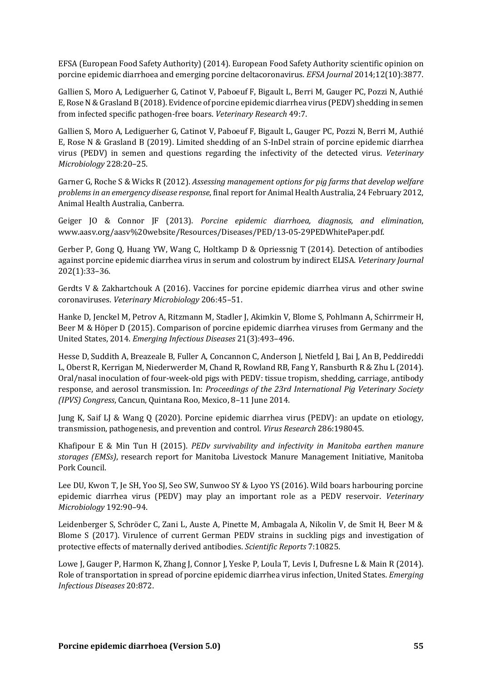EFSA (European Food Safety Authority) (2014). European Food Safety Authority scientific opinion on porcine epidemic diarrhoea and emerging porcine deltacoronavirus. *EFSA Journal* 2014;12(10):3877.

Gallien S, Moro A, Lediguerher G, Catinot V, Paboeuf F, Bigault L, Berri M, Gauger PC, Pozzi N, Authié E, Rose N & Grasland B (2018). Evidence of porcine epidemic diarrhea virus (PEDV) shedding in semen from infected specific pathogen-free boars. *Veterinary Research* 49:7.

Gallien S, Moro A, Lediguerher G, Catinot V, Paboeuf F, Bigault L, Gauger PC, Pozzi N, Berri M, Authié E, Rose N & Grasland B (2019). Limited shedding of an S-InDel strain of porcine epidemic diarrhea virus (PEDV) in semen and questions regarding the infectivity of the detected virus. *Veterinary Microbiology* 228:20–25.

Garner G, Roche S & Wicks R (2012). *Assessing management options for pig farms that develop welfare problems in an emergency disease response*, final report for Animal Health Australia, 24 February 2012, Animal Health Australia, Canberra.

Geiger JO & Connor JF (2013). *Porcine epidemic diarrhoea, diagnosis, and elimination*, www.aasv.org/aasv%20website/Resources/Diseases/PED/13-05-29PEDWhitePaper.pdf.

Gerber P, Gong Q, Huang YW, Wang C, Holtkamp D & Opriessnig T (2014). Detection of antibodies against porcine epidemic diarrhea virus in serum and colostrum by indirect ELISA. *Veterinary Journal* 202(1):33–36.

Gerdts V & Zakhartchouk A (2016). Vaccines for porcine epidemic diarrhea virus and other swine coronaviruses. *Veterinary Microbiology* 206:45–51.

Hanke D, Jenckel M, Petrov A, Ritzmann M, Stadler J, Akimkin V, Blome S, Pohlmann A, Schirrmeir H, Beer M & Höper D (2015). Comparison of porcine epidemic diarrhea viruses from Germany and the United States, 2014. *Emerging Infectious Diseases* 21(3):493–496.

Hesse D, Suddith A, Breazeale B, Fuller A, Concannon C, Anderson J, Nietfeld J, Bai J, An B, Peddireddi L, Oberst R, Kerrigan M, Niederwerder M, Chand R, Rowland RB, Fang Y, Ransburth R & Zhu L (2014). Oral/nasal inoculation of four-week-old pigs with PEDV: tissue tropism, shedding, carriage, antibody response, and aerosol transmission. In: *Proceedings of the 23rd International Pig Veterinary Society (IPVS) Congress*, Cancun, Quintana Roo, Mexico, 8–11 June 2014.

Jung K, Saif LJ & Wang Q (2020). Porcine epidemic diarrhea virus (PEDV): an update on etiology, transmission, pathogenesis, and prevention and control. *Virus Research* 286:198045.

Khafipour E & Min Tun H (2015). *PEDv survivability and infectivity in Manitoba earthen manure storages (EMSs)*, research report for Manitoba Livestock Manure Management Initiative, Manitoba Pork Council.

Lee DU, Kwon T, Je SH, Yoo SJ, Seo SW, Sunwoo SY & Lyoo YS (2016). Wild boars harbouring porcine epidemic diarrhea virus (PEDV) may play an important role as a PEDV reservoir. *Veterinary Microbiology* 192:90–94.

Leidenberger S, Schröder C, Zani L, Auste A, Pinette M, Ambagala A, Nikolin V, de Smit H, Beer M & Blome S (2017). Virulence of current German PEDV strains in suckling pigs and investigation of protective effects of maternally derived antibodies. *Scientific Reports* 7:10825.

Lowe J, Gauger P, Harmon K, Zhang J, Connor J, Yeske P, Loula T, Levis I, Dufresne L & Main R (2014). Role of transportation in spread of porcine epidemic diarrhea virus infection, United States. *Emerging Infectious Diseases* 20:872.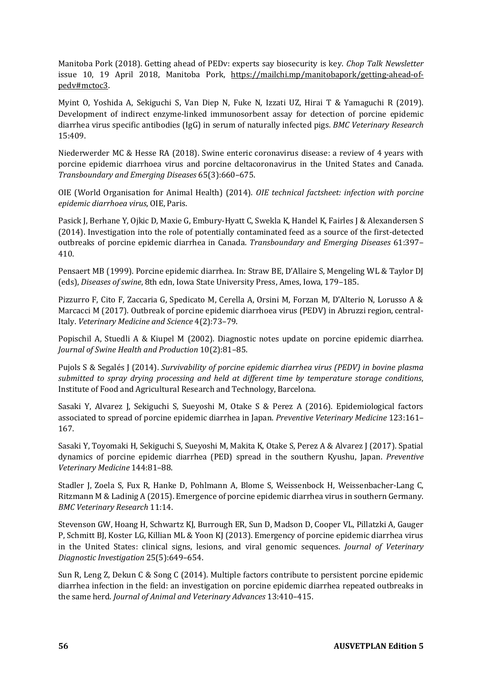Manitoba Pork (2018). Getting ahead of PEDv: experts say biosecurity is key. *Chop Talk Newsletter* issue 10, 19 April 2018, Manitoba Pork, [https://mailchi.mp/manitobapork/getting-ahead-of](https://mailchi.mp/manitobapork/getting-ahead-of-pedv#mctoc3)[pedv#mctoc3.](https://mailchi.mp/manitobapork/getting-ahead-of-pedv#mctoc3)

Myint O, Yoshida A, Sekiguchi S, Van Diep N, Fuke N, Izzati UZ, Hirai T & Yamaguchi R (2019). Development of indirect enzyme-linked immunosorbent assay for detection of porcine epidemic diarrhea virus specific antibodies (IgG) in serum of naturally infected pigs. *BMC Veterinary Research* 15:409.

Niederwerder MC & Hesse RA (2018). Swine enteric coronavirus disease: a review of 4 years with porcine epidemic diarrhoea virus and porcine deltacoronavirus in the United States and Canada. *Transboundary and Emerging Diseases* 65(3):660–675.

OIE (World Organisation for Animal Health) (2014). *OIE technical factsheet: infection with porcine epidemic diarrhoea virus*, OIE, Paris.

Pasick J, Berhane Y, Ojkic D, Maxie G, Embury-Hyatt C, Swekla K, Handel K, Fairles J & Alexandersen S (2014). Investigation into the role of potentially contaminated feed as a source of the first-detected outbreaks of porcine epidemic diarrhea in Canada. *Transboundary and Emerging Diseases* 61:397– 410.

Pensaert MB (1999). Porcine epidemic diarrhea. In: Straw BE, D'Allaire S, Mengeling WL & Taylor DJ (eds), *Diseases of swine*, 8th edn, Iowa State University Press, Ames, Iowa, 179–185.

Pizzurro F, Cito F, Zaccaria G, Spedicato M, Cerella A, Orsini M, Forzan M, D'Alterio N, Lorusso A & Marcacci M (2017). Outbreak of porcine epidemic diarrhoea virus (PEDV) in Abruzzi region, central-Italy. *Veterinary Medicine and Science* 4(2):73–79.

Popischil A, Stuedli A & Kiupel M (2002). Diagnostic notes update on porcine epidemic diarrhea. *Journal of Swine Health and Production* 10(2):81–85.

Pujols S & Segalés J (2014). *Survivability of porcine epidemic diarrhea virus (PEDV) in bovine plasma submitted to spray drying processing and held at different time by temperature storage conditions*, Institute of Food and Agricultural Research and Technology, Barcelona.

Sasaki Y, Alvarez J, Sekiguchi S, Sueyoshi M, Otake S & Perez A (2016). Epidemiological factors associated to spread of porcine epidemic diarrhea in Japan. *Preventive Veterinary Medicine* 123:161– 167.

Sasaki Y, Toyomaki H, Sekiguchi S, Sueyoshi M, Makita K, Otake S, Perez A & Alvarez J (2017). Spatial dynamics of porcine epidemic diarrhea (PED) spread in the southern Kyushu, Japan. *Preventive Veterinary Medicine* 144:81–88.

Stadler J, Zoela S, Fux R, Hanke D, Pohlmann A, Blome S, Weissenbock H, Weissenbacher-Lang C, Ritzmann M & Ladinig A (2015). Emergence of porcine epidemic diarrhea virus in southern Germany. *BMC Veterinary Research* 11:14.

Stevenson GW, Hoang H, Schwartz KJ, Burrough ER, Sun D, Madson D, Cooper VL, Pillatzki A, Gauger P, Schmitt BJ, Koster LG, Killian ML & Yoon KJ (2013). Emergency of porcine epidemic diarrhea virus in the United States: clinical signs, lesions, and viral genomic sequences. *Journal of Veterinary Diagnostic Investigation* 25(5):649–654.

Sun R, Leng Z, Dekun C & Song C (2014). Multiple factors contribute to persistent porcine epidemic diarrhea infection in the field: an investigation on porcine epidemic diarrhea repeated outbreaks in the same herd. *Journal of Animal and Veterinary Advances* 13:410–415.